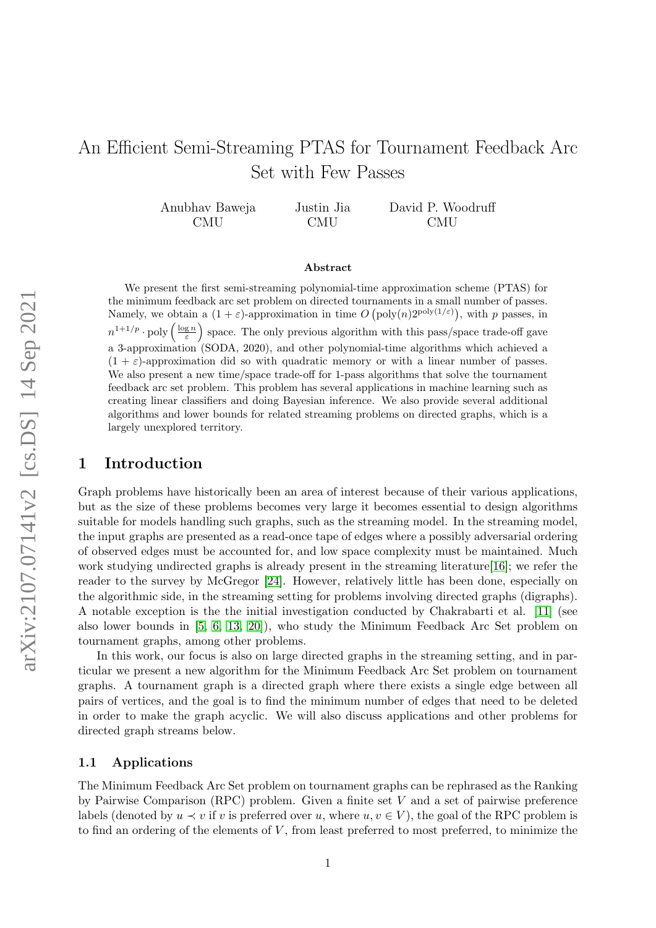# An Efficient Semi-Streaming PTAS for Tournament Feedback Arc Set with Few Passes

Anubhav Baweja CMU Justin Jia CMU David P. Woodruff CMU

#### Abstract

We present the first semi-streaming polynomial-time approximation scheme (PTAS) for the minimum feedback arc set problem on directed tournaments in a small number of passes. Namely, we obtain a  $(1+\varepsilon)$ -approximation in time  $O(poly(n)2^{poly(1/\varepsilon)})$ , with p passes, in  $n^{1+1/p} \cdot \text{poly}\left(\frac{\log n}{\varepsilon}\right)$  space. The only previous algorithm with this pass/space trade-off gave a 3-approximation (SODA, 2020), and other polynomial-time algorithms which achieved a  $(1 + \varepsilon)$ -approximation did so with quadratic memory or with a linear number of passes. We also present a new time/space trade-off for 1-pass algorithms that solve the tournament feedback arc set problem. This problem has several applications in machine learning such as creating linear classifiers and doing Bayesian inference. We also provide several additional algorithms and lower bounds for related streaming problems on directed graphs, which is a largely unexplored territory.

# 1 Introduction

Graph problems have historically been an area of interest because of their various applications, but as the size of these problems becomes very large it becomes essential to design algorithms suitable for models handling such graphs, such as the streaming model. In the streaming model, the input graphs are presented as a read-once tape of edges where a possibly adversarial ordering of observed edges must be accounted for, and low space complexity must be maintained. Much work studying undirected graphs is already present in the streaming literature $[16]$ ; we refer the reader to the survey by McGregor [\[24\]](#page-25-1). However, relatively little has been done, especially on the algorithmic side, in the streaming setting for problems involving directed graphs (digraphs). A notable exception is the the initial investigation conducted by Chakrabarti et al. [\[11\]](#page-24-0) (see also lower bounds in [\[5,](#page-24-1) [6,](#page-24-2) [13,](#page-24-3) [20\]](#page-25-2)), who study the Minimum Feedback Arc Set problem on tournament graphs, among other problems.

In this work, our focus is also on large directed graphs in the streaming setting, and in particular we present a new algorithm for the Minimum Feedback Arc Set problem on tournament graphs. A tournament graph is a directed graph where there exists a single edge between all pairs of vertices, and the goal is to find the minimum number of edges that need to be deleted in order to make the graph acyclic. We will also discuss applications and other problems for directed graph streams below.

### 1.1 Applications

The Minimum Feedback Arc Set problem on tournament graphs can be rephrased as the Ranking by Pairwise Comparison (RPC) problem. Given a finite set  $V$  and a set of pairwise preference labels (denoted by  $u \prec v$  if v is preferred over u, where  $u, v \in V$ ), the goal of the RPC problem is to find an ordering of the elements of  $V$ , from least preferred to most preferred, to minimize the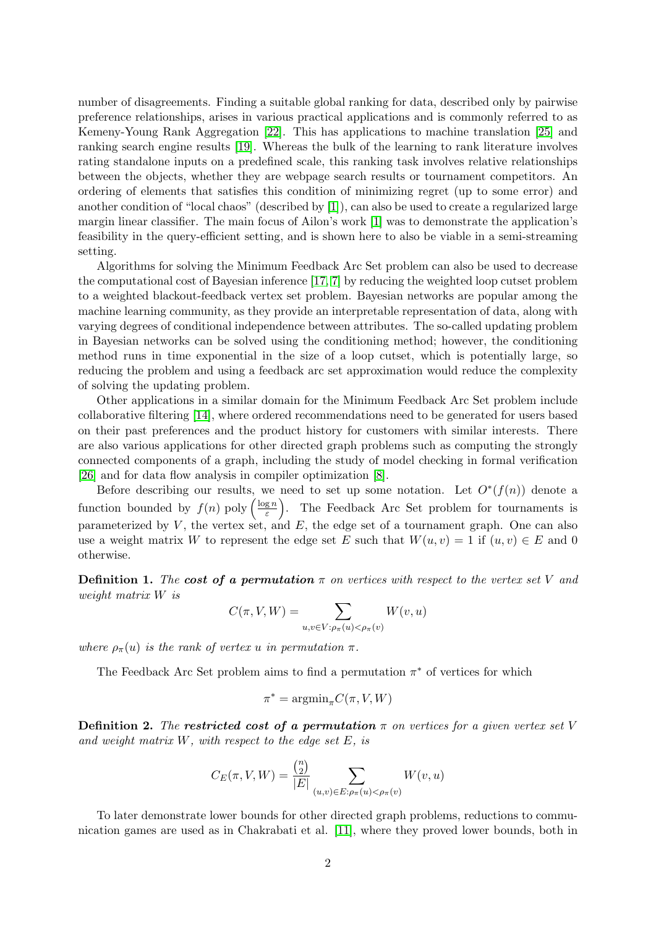number of disagreements. Finding a suitable global ranking for data, described only by pairwise preference relationships, arises in various practical applications and is commonly referred to as Kemeny-Young Rank Aggregation [\[22\]](#page-25-3). This has applications to machine translation [\[25\]](#page-25-4) and ranking search engine results [\[19\]](#page-25-5). Whereas the bulk of the learning to rank literature involves rating standalone inputs on a predefined scale, this ranking task involves relative relationships between the objects, whether they are webpage search results or tournament competitors. An ordering of elements that satisfies this condition of minimizing regret (up to some error) and another condition of "local chaos" (described by [\[1\]](#page-24-4)), can also be used to create a regularized large margin linear classifier. The main focus of Ailon's work [\[1\]](#page-24-4) was to demonstrate the application's feasibility in the query-efficient setting, and is shown here to also be viable in a semi-streaming setting.

Algorithms for solving the Minimum Feedback Arc Set problem can also be used to decrease the computational cost of Bayesian inference [\[17,](#page-25-6) [7\]](#page-24-5) by reducing the weighted loop cutset problem to a weighted blackout-feedback vertex set problem. Bayesian networks are popular among the machine learning community, as they provide an interpretable representation of data, along with varying degrees of conditional independence between attributes. The so-called updating problem in Bayesian networks can be solved using the conditioning method; however, the conditioning method runs in time exponential in the size of a loop cutset, which is potentially large, so reducing the problem and using a feedback arc set approximation would reduce the complexity of solving the updating problem.

Other applications in a similar domain for the Minimum Feedback Arc Set problem include collaborative filtering [\[14\]](#page-24-6), where ordered recommendations need to be generated for users based on their past preferences and the product history for customers with similar interests. There are also various applications for other directed graph problems such as computing the strongly connected components of a graph, including the study of model checking in formal verification [\[26\]](#page-25-7) and for data flow analysis in compiler optimization [\[8\]](#page-24-7).

Before describing our results, we need to set up some notation. Let  $O^*(f(n))$  denote a function bounded by  $f(n)$  poly  $\left(\frac{\log n}{\varepsilon}\right)$  $\left(\frac{gn}{\varepsilon}\right)$ . The Feedback Arc Set problem for tournaments is parameterized by  $V$ , the vertex set, and  $E$ , the edge set of a tournament graph. One can also use a weight matrix W to represent the edge set E such that  $W(u, v) = 1$  if  $(u, v) \in E$  and 0 otherwise.

**Definition 1.** The cost of a permutation  $\pi$  on vertices with respect to the vertex set V and weight matrix W is

$$
C(\pi, V, W) = \sum_{u,v \in V: \rho_{\pi}(u) < \rho_{\pi}(v)} W(v, u)
$$

where  $\rho_{\pi}(u)$  is the rank of vertex u in permutation  $\pi$ .

The Feedback Arc Set problem aims to find a permutation  $\pi^*$  of vertices for which

$$
\pi^* = \text{argmin}_{\pi} C(\pi, V, W)
$$

**Definition 2.** The restricted cost of a permutation  $\pi$  on vertices for a given vertex set V and weight matrix  $W$ , with respect to the edge set  $E$ , is

$$
C_E(\pi, V, W) = \frac{\binom{n}{2}}{|E|} \sum_{(u,v) \in E: \rho_{\pi}(u) < \rho_{\pi}(v)} W(v, u)
$$

To later demonstrate lower bounds for other directed graph problems, reductions to communication games are used as in Chakrabati et al. [\[11\]](#page-24-0), where they proved lower bounds, both in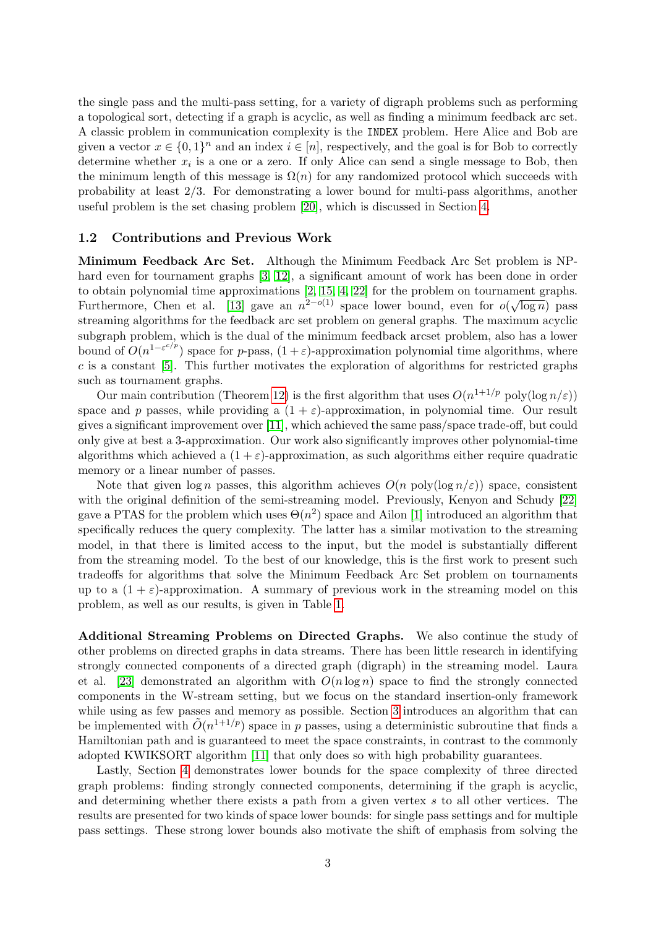the single pass and the multi-pass setting, for a variety of digraph problems such as performing a topological sort, detecting if a graph is acyclic, as well as finding a minimum feedback arc set. A classic problem in communication complexity is the INDEX problem. Here Alice and Bob are given a vector  $x \in \{0,1\}^n$  and an index  $i \in [n]$ , respectively, and the goal is for Bob to correctly determine whether  $x_i$  is a one or a zero. If only Alice can send a single message to Bob, then the minimum length of this message is  $\Omega(n)$  for any randomized protocol which succeeds with probability at least 2/3. For demonstrating a lower bound for multi-pass algorithms, another useful problem is the set chasing problem [\[20\]](#page-25-2), which is discussed in Section [4.](#page-20-0)

### 1.2 Contributions and Previous Work

Minimum Feedback Arc Set. Although the Minimum Feedback Arc Set problem is NPhard even for tournament graphs [\[3,](#page-24-8) [12\]](#page-24-9), a significant amount of work has been done in order to obtain polynomial time approximations  $[2, 15, 4, 22]$  $[2, 15, 4, 22]$  $[2, 15, 4, 22]$  $[2, 15, 4, 22]$  for the problem on tournament graphs. Furthermore, Chen et al. [\[13\]](#page-24-3) gave an  $n^{2-o(1)}$  space lower bound, even for  $o(\sqrt{\log n})$  pass streaming algorithms for the feedback arc set problem on general graphs. The maximum acyclic subgraph problem, which is the dual of the minimum feedback arcset problem, also has a lower bound of  $O(n^{1-\varepsilon^{c/p}})$  space for p-pass,  $(1+\varepsilon)$ -approximation polynomial time algorithms, where  $c$  is a constant [\[5\]](#page-24-1). This further motivates the exploration of algorithms for restricted graphs such as tournament graphs.

Our main contribution (Theorem [12\)](#page-9-0) is the first algorithm that uses  $O(n^{1+1/p} \text{ poly}(\log n/\varepsilon))$ space and p passes, while providing a  $(1 + \varepsilon)$ -approximation, in polynomial time. Our result gives a significant improvement over [\[11\]](#page-24-0), which achieved the same pass/space trade-off, but could only give at best a 3-approximation. Our work also significantly improves other polynomial-time algorithms which achieved a  $(1 + \varepsilon)$ -approximation, as such algorithms either require quadratic memory or a linear number of passes.

Note that given  $\log n$  passes, this algorithm achieves  $O(n \text{ poly}(\log n/\varepsilon))$  space, consistent with the original definition of the semi-streaming model. Previously, Kenyon and Schudy [\[22\]](#page-25-3) gave a PTAS for the problem which uses  $\Theta(n^2)$  space and Ailon [\[1\]](#page-24-4) introduced an algorithm that specifically reduces the query complexity. The latter has a similar motivation to the streaming model, in that there is limited access to the input, but the model is substantially different from the streaming model. To the best of our knowledge, this is the first work to present such tradeoffs for algorithms that solve the Minimum Feedback Arc Set problem on tournaments up to a  $(1 + \varepsilon)$ -approximation. A summary of previous work in the streaming model on this problem, as well as our results, is given in Table [1.](#page-3-0)

Additional Streaming Problems on Directed Graphs. We also continue the study of other problems on directed graphs in data streams. There has been little research in identifying strongly connected components of a directed graph (digraph) in the streaming model. Laura et al. [\[23\]](#page-25-8) demonstrated an algorithm with  $O(n \log n)$  space to find the strongly connected components in the W-stream setting, but we focus on the standard insertion-only framework while using as few passes and memory as possible. Section [3](#page-18-0) introduces an algorithm that can be implemented with  $\tilde{O}(n^{1+1/p})$  space in p passes, using a deterministic subroutine that finds a Hamiltonian path and is guaranteed to meet the space constraints, in contrast to the commonly adopted KWIKSORT algorithm [\[11\]](#page-24-0) that only does so with high probability guarantees.

Lastly, Section [4](#page-20-0) demonstrates lower bounds for the space complexity of three directed graph problems: finding strongly connected components, determining if the graph is acyclic, and determining whether there exists a path from a given vertex s to all other vertices. The results are presented for two kinds of space lower bounds: for single pass settings and for multiple pass settings. These strong lower bounds also motivate the shift of emphasis from solving the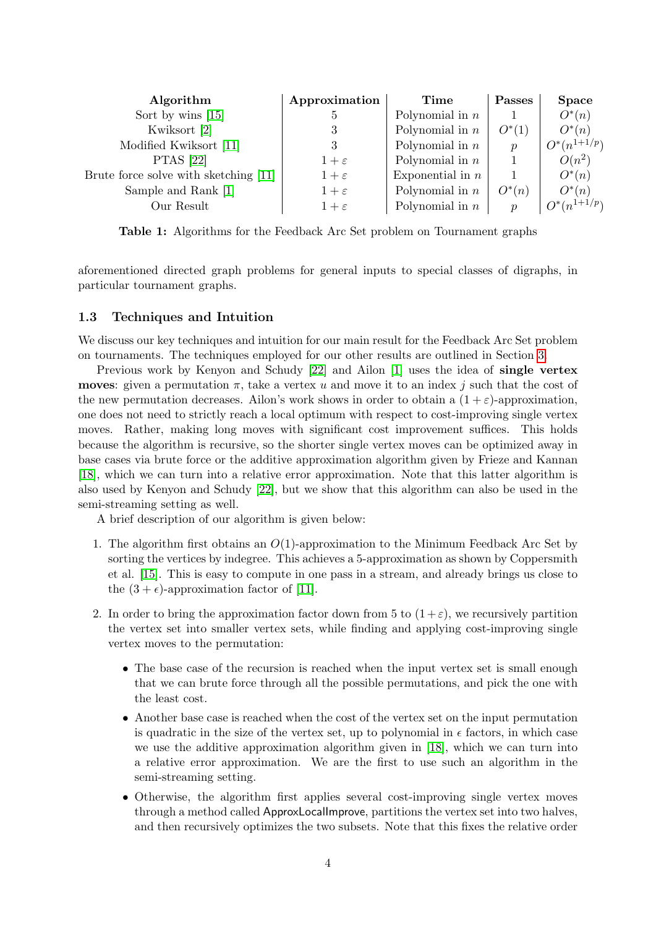<span id="page-3-0"></span>

| Algorithm                             | Approximation   | Time               | <b>Passes</b>    | <b>Space</b>     |
|---------------------------------------|-----------------|--------------------|------------------|------------------|
| Sort by wins $[15]$                   | $\mathfrak{h}$  | Polynomial in $n$  |                  | $O^*(n)$         |
| Kwiksort [2]                          |                 | Polynomial in $n$  | $O^*(1)$         | $O^*(n)$         |
| Modified Kwiksort [11]                | 3               | Polynomial in $n$  | $\boldsymbol{p}$ | $O^*(n^{1+1/p})$ |
| <b>PTAS</b> [22]                      | $1+\varepsilon$ | Polynomial in $n$  |                  | $O(n^2)$         |
| Brute force solve with sketching [11] | $1+\varepsilon$ | Exponential in $n$ |                  | $O^*(n)$         |
| Sample and Rank [1]                   | $1+\varepsilon$ | Polynomial in $n$  | $O^*(n)$         | $O^*(n)$         |
| Our Result                            | $1+\varepsilon$ | Polynomial in $n$  | $\boldsymbol{n}$ | $O^*(n^{1+1/p})$ |

Table 1: Algorithms for the Feedback Arc Set problem on Tournament graphs

aforementioned directed graph problems for general inputs to special classes of digraphs, in particular tournament graphs.

### 1.3 Techniques and Intuition

We discuss our key techniques and intuition for our main result for the Feedback Arc Set problem on tournaments. The techniques employed for our other results are outlined in Section [3.](#page-18-0)

Previous work by Kenyon and Schudy [\[22\]](#page-25-3) and Ailon [\[1\]](#page-24-4) uses the idea of single vertex **moves:** given a permutation  $\pi$ , take a vertex u and move it to an index j such that the cost of the new permutation decreases. Ailon's work shows in order to obtain a  $(1 + \varepsilon)$ -approximation, one does not need to strictly reach a local optimum with respect to cost-improving single vertex moves. Rather, making long moves with significant cost improvement suffices. This holds because the algorithm is recursive, so the shorter single vertex moves can be optimized away in base cases via brute force or the additive approximation algorithm given by Frieze and Kannan [\[18\]](#page-25-9), which we can turn into a relative error approximation. Note that this latter algorithm is also used by Kenyon and Schudy [\[22\]](#page-25-3), but we show that this algorithm can also be used in the semi-streaming setting as well.

A brief description of our algorithm is given below:

- 1. The algorithm first obtains an  $O(1)$ -approximation to the Minimum Feedback Arc Set by sorting the vertices by indegree. This achieves a 5-approximation as shown by Coppersmith et al. [\[15\]](#page-24-11). This is easy to compute in one pass in a stream, and already brings us close to the  $(3 + \epsilon)$ -approximation factor of [\[11\]](#page-24-0).
- 2. In order to bring the approximation factor down from 5 to  $(1+\varepsilon)$ , we recursively partition the vertex set into smaller vertex sets, while finding and applying cost-improving single vertex moves to the permutation:
	- The base case of the recursion is reached when the input vertex set is small enough that we can brute force through all the possible permutations, and pick the one with the least cost.
	- Another base case is reached when the cost of the vertex set on the input permutation is quadratic in the size of the vertex set, up to polynomial in  $\epsilon$  factors, in which case we use the additive approximation algorithm given in [\[18\]](#page-25-9), which we can turn into a relative error approximation. We are the first to use such an algorithm in the semi-streaming setting.
	- Otherwise, the algorithm first applies several cost-improving single vertex moves through a method called ApproxLocalImprove, partitions the vertex set into two halves, and then recursively optimizes the two subsets. Note that this fixes the relative order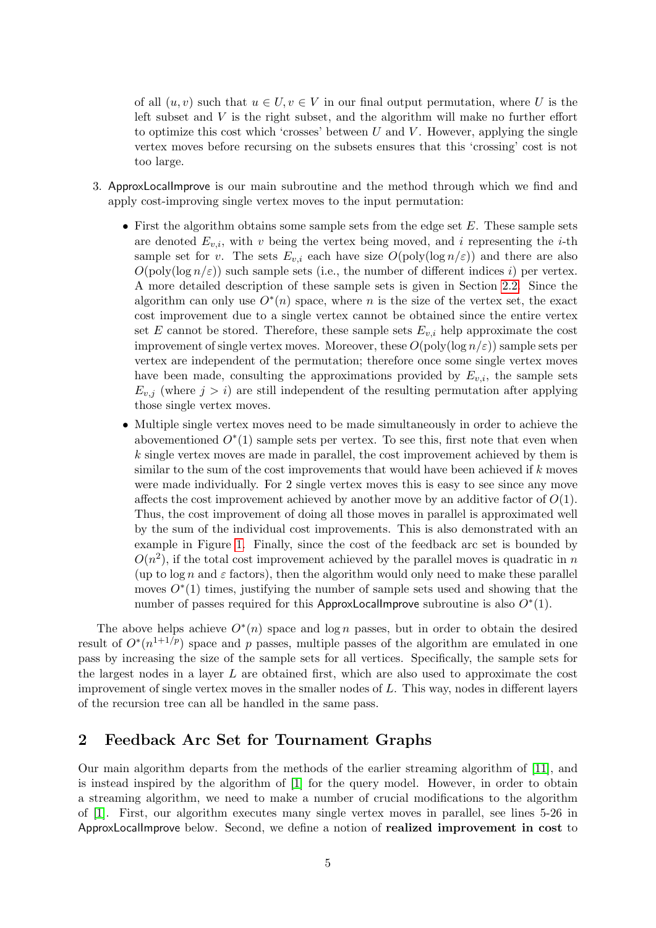of all  $(u, v)$  such that  $u \in U, v \in V$  in our final output permutation, where U is the left subset and  $V$  is the right subset, and the algorithm will make no further effort to optimize this cost which 'crosses' between  $U$  and  $V$ . However, applying the single vertex moves before recursing on the subsets ensures that this 'crossing' cost is not too large.

- 3. ApproxLocalImprove is our main subroutine and the method through which we find and apply cost-improving single vertex moves to the input permutation:
	- First the algorithm obtains some sample sets from the edge set  $E$ . These sample sets are denoted  $E_{v,i}$ , with v being the vertex being moved, and i representing the i-th sample set for v. The sets  $E_{v,i}$  each have size  $O(\text{poly}(\log n/\varepsilon))$  and there are also  $O(poly(log n/\epsilon))$  such sample sets (i.e., the number of different indices i) per vertex. A more detailed description of these sample sets is given in Section [2.2.](#page-8-0) Since the algorithm can only use  $O^*(n)$  space, where n is the size of the vertex set, the exact cost improvement due to a single vertex cannot be obtained since the entire vertex set E cannot be stored. Therefore, these sample sets  $E_{v,i}$  help approximate the cost improvement of single vertex moves. Moreover, these  $O(\text{poly}(\log n/\varepsilon))$  sample sets per vertex are independent of the permutation; therefore once some single vertex moves have been made, consulting the approximations provided by  $E_{v,i}$ , the sample sets  $E_{v,j}$  (where  $j > i$ ) are still independent of the resulting permutation after applying those single vertex moves.
	- Multiple single vertex moves need to be made simultaneously in order to achieve the abovementioned  $O<sup>*</sup>(1)$  sample sets per vertex. To see this, first note that even when k single vertex moves are made in parallel, the cost improvement achieved by them is similar to the sum of the cost improvements that would have been achieved if  $k$  moves were made individually. For 2 single vertex moves this is easy to see since any move affects the cost improvement achieved by another move by an additive factor of  $O(1)$ . Thus, the cost improvement of doing all those moves in parallel is approximated well by the sum of the individual cost improvements. This is also demonstrated with an example in Figure [1.](#page-5-0) Finally, since the cost of the feedback arc set is bounded by  $O(n^2)$ , if the total cost improvement achieved by the parallel moves is quadratic in n (up to  $\log n$  and  $\varepsilon$  factors), then the algorithm would only need to make these parallel moves  $O<sup>*</sup>(1)$  times, justifying the number of sample sets used and showing that the number of passes required for this ApproxLocalImprove subroutine is also  $O<sup>*</sup>(1)$ .

The above helps achieve  $O<sup>*</sup>(n)$  space and log n passes, but in order to obtain the desired result of  $O^*(n^{1+1/p})$  space and p passes, multiple passes of the algorithm are emulated in one pass by increasing the size of the sample sets for all vertices. Specifically, the sample sets for the largest nodes in a layer L are obtained first, which are also used to approximate the cost improvement of single vertex moves in the smaller nodes of  $L$ . This way, nodes in different layers of the recursion tree can all be handled in the same pass.

# 2 Feedback Arc Set for Tournament Graphs

Our main algorithm departs from the methods of the earlier streaming algorithm of [\[11\]](#page-24-0), and is instead inspired by the algorithm of [\[1\]](#page-24-4) for the query model. However, in order to obtain a streaming algorithm, we need to make a number of crucial modifications to the algorithm of [\[1\]](#page-24-4). First, our algorithm executes many single vertex moves in parallel, see lines 5-26 in ApproxLocalImprove below. Second, we define a notion of realized improvement in cost to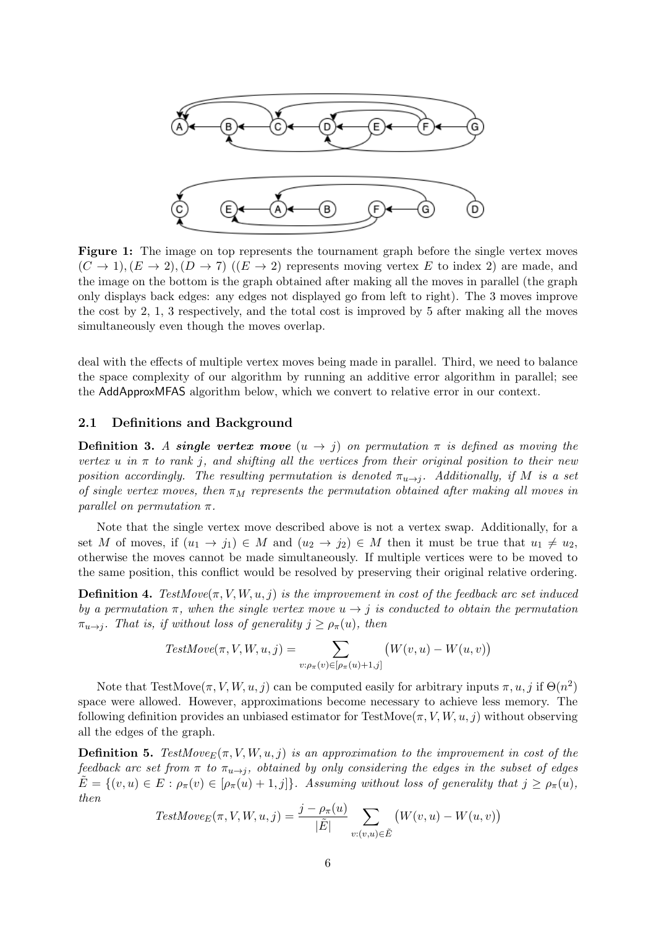<span id="page-5-0"></span>

Figure 1: The image on top represents the tournament graph before the single vertex moves  $(C \to 1), (E \to 2), (D \to 7)$   $((E \to 2)$  represents moving vertex E to index 2) are made, and the image on the bottom is the graph obtained after making all the moves in parallel (the graph only displays back edges: any edges not displayed go from left to right). The 3 moves improve the cost by 2, 1, 3 respectively, and the total cost is improved by 5 after making all the moves simultaneously even though the moves overlap.

deal with the effects of multiple vertex moves being made in parallel. Third, we need to balance the space complexity of our algorithm by running an additive error algorithm in parallel; see the AddApproxMFAS algorithm below, which we convert to relative error in our context.

### 2.1 Definitions and Background

**Definition 3.** A single vertex move  $(u \rightarrow j)$  on permutation  $\pi$  is defined as moving the vertex u in  $\pi$  to rank j, and shifting all the vertices from their original position to their new position accordingly. The resulting permutation is denoted  $\pi_{u\to j}$ . Additionally, if M is a set of single vertex moves, then  $\pi_M$  represents the permutation obtained after making all moves in parallel on permutation  $\pi$ .

Note that the single vertex move described above is not a vertex swap. Additionally, for a set M of moves, if  $(u_1 \to j_1) \in M$  and  $(u_2 \to j_2) \in M$  then it must be true that  $u_1 \neq u_2$ , otherwise the moves cannot be made simultaneously. If multiple vertices were to be moved to the same position, this conflict would be resolved by preserving their original relative ordering.

**Definition 4.** TestMove $(\pi, V, W, u, j)$  is the improvement in cost of the feedback arc set induced by a permutation  $\pi$ , when the single vertex move  $u \to j$  is conducted to obtain the permutation  $\pi_{u\to i}$ . That is, if without loss of generality  $j \geq \rho_{\pi}(u)$ , then

$$
TestMove(\pi, V, W, u, j) = \sum_{v: \rho_{\pi}(v) \in [\rho_{\pi}(u) + 1, j]} (W(v, u) - W(u, v))
$$

Note that TestMove $(\pi, V, W, u, j)$  can be computed easily for arbitrary inputs  $\pi, u, j$  if  $\Theta(n^2)$ space were allowed. However, approximations become necessary to achieve less memory. The following definition provides an unbiased estimator for TestMove $(\pi, V, W, u, j)$  without observing all the edges of the graph.

**Definition 5.** TestMove<sub>E</sub> $(\pi, V, W, u, j)$  is an approximation to the improvement in cost of the feedback arc set from  $\pi$  to  $\pi_{u\to i}$ , obtained by only considering the edges in the subset of edges  $\tilde{E} = \{(v, u) \in E : \rho_{\pi}(v) \in [\rho_{\pi}(u) + 1, j]\}\$ . Assuming without loss of generality that  $j \ge \rho_{\pi}(u)$ , then

$$
TestMove_E(\pi, V, W, u, j) = \frac{j - \rho_{\pi}(u)}{|\tilde{E}|} \sum_{v:(v,u) \in \tilde{E}} (W(v, u) - W(u, v))
$$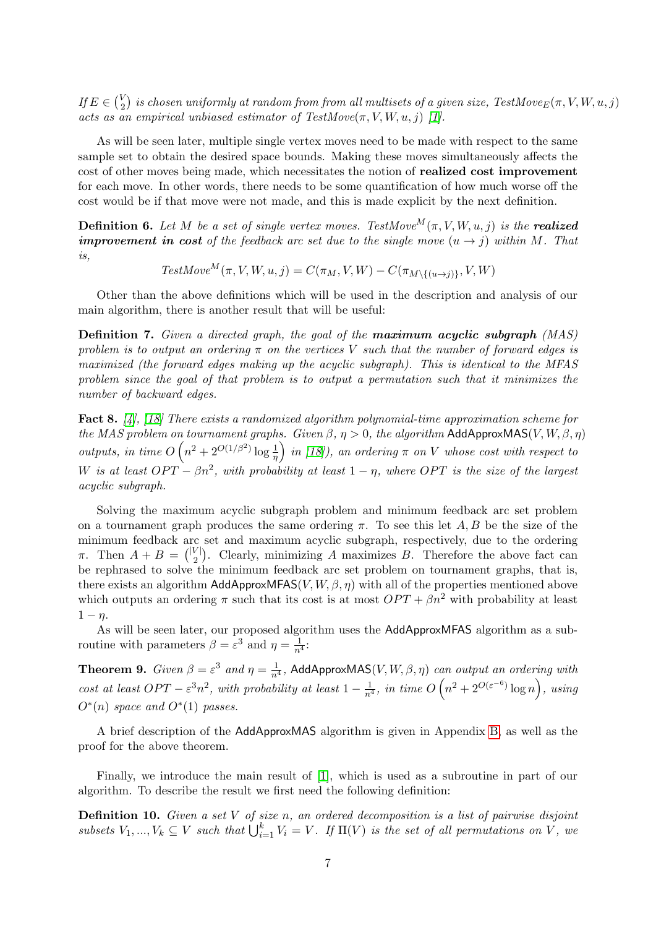If  $E \in {V \choose 2}$  $\mathcal{L}_2^{(V)}$  is chosen uniformly at random from from all multisets of a given size, TestMove $_E(\pi,V,W,u,j)$ acts as an empirical unbiased estimator of  $TestMove(\pi, V, W, u, i)$  [\[1\]](#page-24-4).

As will be seen later, multiple single vertex moves need to be made with respect to the same sample set to obtain the desired space bounds. Making these moves simultaneously affects the cost of other moves being made, which necessitates the notion of realized cost improvement for each move. In other words, there needs to be some quantification of how much worse off the cost would be if that move were not made, and this is made explicit by the next definition.

**Definition 6.** Let M be a set of single vertex moves. TestMove<sup>M</sup>( $\pi$ , V, W, u, j) is the **realized improvement in cost** of the feedback arc set due to the single move  $(u \rightarrow j)$  within M. That is,

 $TestMove^M(\pi, V, W, u, j) = C(\pi_M, V, W) - C(\pi_{M \setminus \{(u \to j)\}}, V, W)$ 

Other than the above definitions which will be used in the description and analysis of our main algorithm, there is another result that will be useful:

Definition 7. Given a directed graph, the goal of the **maximum acyclic subgraph** (MAS) problem is to output an ordering  $\pi$  on the vertices V such that the number of forward edges is maximized (the forward edges making up the acyclic subgraph). This is identical to the MFAS problem since the goal of that problem is to output a permutation such that it minimizes the number of backward edges.

<span id="page-6-0"></span>Fact 8. [\[4\]](#page-24-12), [\[18\]](#page-25-9) There exists a randomized algorithm polynomial-time approximation scheme for the MAS problem on tournament graphs. Given  $\beta$ ,  $\eta > 0$ , the algorithm AddApproxMAS(V, W,  $\beta$ ,  $\eta$ ) outputs, in time  $O(n^2 + 2^{O(1/\beta^2)} \log \frac{1}{\eta})$  in [\[18\]](#page-25-9)), an ordering  $\pi$  on V whose cost with respect to W is at least  $OPT - \beta n^2$ , with probability at least  $1 - \eta$ , where OPT is the size of the largest acyclic subgraph.

Solving the maximum acyclic subgraph problem and minimum feedback arc set problem on a tournament graph produces the same ordering  $\pi$ . To see this let A, B be the size of the minimum feedback arc set and maximum acyclic subgraph, respectively, due to the ordering  $\pi$ . Then  $A + B = \binom{|V|}{2}$  $2^{V}$ ). Clearly, minimizing A maximizes B. Therefore the above fact can be rephrased to solve the minimum feedback arc set problem on tournament graphs, that is, there exists an algorithm AddApproxMFAS $(V, W, \beta, \eta)$  with all of the properties mentioned above which outputs an ordering  $\pi$  such that its cost is at most  $OPT + \beta n^2$  with probability at least  $1 - \eta$ .

As will be seen later, our proposed algorithm uses the AddApproxMFAS algorithm as a subroutine with parameters  $\beta = \varepsilon^3$  and  $\eta = \frac{1}{n^4}$ :

<span id="page-6-1"></span>**Theorem 9.** Given  $\beta = \varepsilon^3$  and  $\eta = \frac{1}{n^4}$ , AddApproxMAS(V, W,  $\beta$ ,  $\eta$ ) can output an ordering with cost at least  $OPT - \varepsilon^3 n^2$ , with probability at least  $1 - \frac{1}{n^4}$ , in time  $O(n^2 + 2^{O(\varepsilon^{-6})} \log n)$ , using  $O^*(n)$  space and  $O^*(1)$  passes.

A brief description of the AddApproxMAS algorithm is given in Appendix [B,](#page-27-0) as well as the proof for the above theorem.

Finally, we introduce the main result of [\[1\]](#page-24-4), which is used as a subroutine in part of our algorithm. To describe the result we first need the following definition:

**Definition 10.** Given a set  $V$  of size  $n$ , an ordered decomposition is a list of pairwise disjoint subsets  $V_1, ..., V_k \subseteq V$  such that  $\bigcup_{i=1}^k V_i = V$ . If  $\Pi(V)$  is the set of all permutations on V, we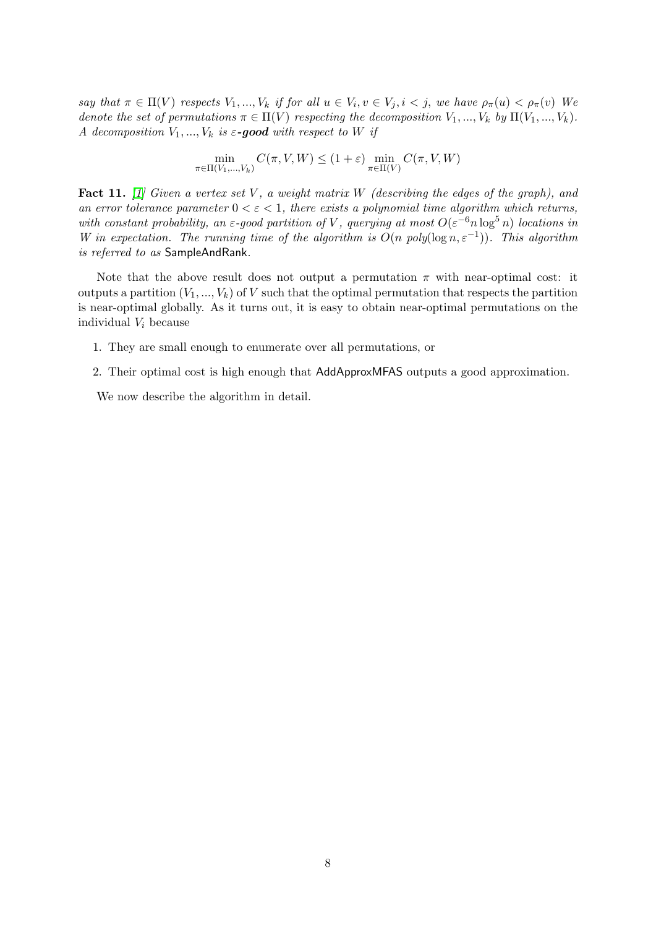say that  $\pi \in \Pi(V)$  respects  $V_1, ..., V_k$  if for all  $u \in V_i, v \in V_j, i < j$ , we have  $\rho_{\pi}(u) < \rho_{\pi}(v)$  We denote the set of permutations  $\pi \in \Pi(V)$  respecting the decomposition  $V_1, ..., V_k$  by  $\Pi(V_1, ..., V_k)$ . A decomposition  $V_1, ..., V_k$  is  $\varepsilon$ -good with respect to W if

$$
\min_{\pi \in \Pi(V_1, ..., V_k)} C(\pi, V, W) \le (1 + \varepsilon) \min_{\pi \in \Pi(V)} C(\pi, V, W)
$$

Fact 11. [\[1\]](#page-24-4) Given a vertex set V, a weight matrix W (describing the edges of the graph), and an error tolerance parameter  $0 < \varepsilon < 1$ , there exists a polynomial time algorithm which returns, with constant probability, an  $\varepsilon$ -good partition of V, querying at most  $O(\varepsilon^{-6} n \log^5 n)$  locations in W in expectation. The running time of the algorithm is  $O(n \text{ poly}(\log n, \varepsilon^{-1}))$ . This algorithm is referred to as SampleAndRank.

Note that the above result does not output a permutation  $\pi$  with near-optimal cost: it outputs a partition  $(V_1, ..., V_k)$  of V such that the optimal permutation that respects the partition is near-optimal globally. As it turns out, it is easy to obtain near-optimal permutations on the individual  $V_i$  because

- 1. They are small enough to enumerate over all permutations, or
- 2. Their optimal cost is high enough that AddApproxMFAS outputs a good approximation.

We now describe the algorithm in detail.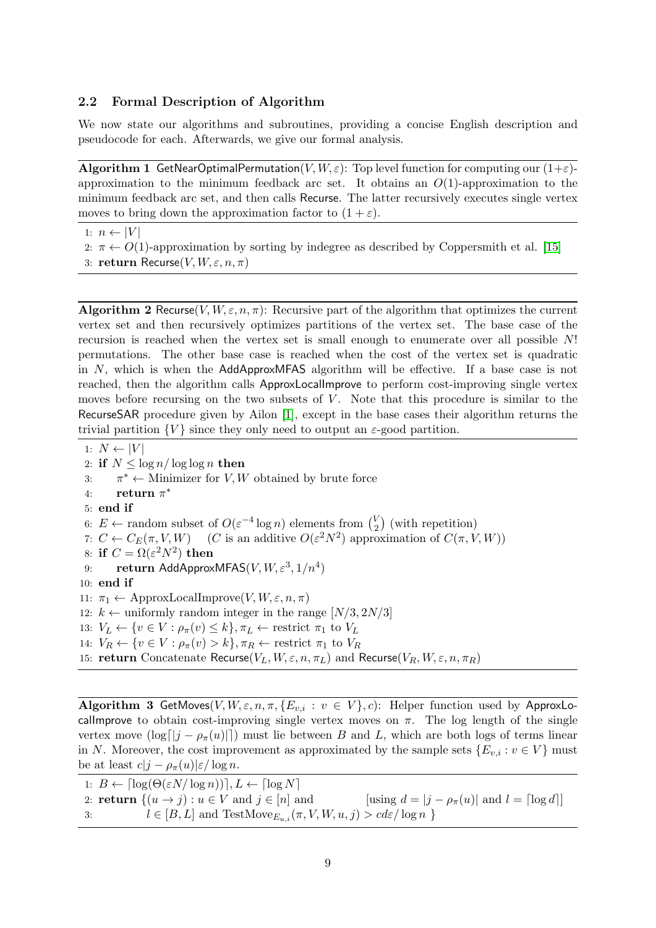### <span id="page-8-0"></span>2.2 Formal Description of Algorithm

We now state our algorithms and subroutines, providing a concise English description and pseudocode for each. Afterwards, we give our formal analysis.

**Algorithm 1** GetNearOptimalPermutation $(V, W, \varepsilon)$ : Top level function for computing our  $(1+\varepsilon)$ approximation to the minimum feedback arc set. It obtains an  $O(1)$ -approximation to the minimum feedback arc set, and then calls Recurse. The latter recursively executes single vertex moves to bring down the approximation factor to  $(1 + \varepsilon)$ .

1:  $n \leftarrow |V|$ 

- 2:  $\pi \leftarrow O(1)$ -approximation by sorting by indegree as described by Coppersmith et al. [\[15\]](#page-24-11)
- 3: return Recurse(V,  $W, \varepsilon, n, \pi$ )

<span id="page-8-1"></span>**Algorithm 2** Recurse  $(V, W, \varepsilon, n, \pi)$ : Recursive part of the algorithm that optimizes the current vertex set and then recursively optimizes partitions of the vertex set. The base case of the recursion is reached when the vertex set is small enough to enumerate over all possible N! permutations. The other base case is reached when the cost of the vertex set is quadratic in N, which is when the AddApproxMFAS algorithm will be effective. If a base case is not reached, then the algorithm calls ApproxLocalImprove to perform cost-improving single vertex moves before recursing on the two subsets of  $V$ . Note that this procedure is similar to the RecurseSAR procedure given by Ailon [\[1\]](#page-24-4), except in the base cases their algorithm returns the trivial partition  $\{V\}$  since they only need to output an  $\varepsilon$ -good partition.

1:  $N \leftarrow |V|$ 

2: if  $N \leq \log n / \log \log n$  then 3:  $\pi^* \leftarrow$  Minimizer for *V*, *W* obtained by brute force 4: return  $\pi^*$ 5: end if 6:  $E \leftarrow$  random subset of  $O(\varepsilon^{-4} \log n)$  elements from  $\binom{V}{2}$  $\binom{V}{2}$  (with repetition) 7:  $C \leftarrow C_E(\pi, V, W)$  (*C* is an additive  $O(\varepsilon^2 N^2)$  approximation of  $C(\pi, V, W)$ ) 8: if  $C = \Omega(\varepsilon^2 N^2)$  then 9: return AddApproxMFAS $(V, W, \varepsilon^3, 1/n^4)$ 10: end if 11:  $\pi_1 \leftarrow \text{ApproxLocalImprove}(V, W, \varepsilon, n, \pi)$ 12:  $k \leftarrow$  uniformly random integer in the range  $[N/3, 2N/3]$ 13:  $V_L \leftarrow \{v \in V : \rho_{\pi}(v) \leq k\}, \pi_L \leftarrow$  restrict  $\pi_1$  to  $V_L$ 14:  $V_R \leftarrow \{v \in V : \rho_{\pi}(v) > k\}, \pi_R \leftarrow$  restrict  $\pi_1$  to  $V_R$ 15: return Concatenate Recurse( $V_L, W, \varepsilon, n, \pi_L$ ) and Recurse( $V_R, W, \varepsilon, n, \pi_R$ )

Algorithm 3 GetMoves(V,  $W, \varepsilon, n, \pi, \{E_{v,i} : v \in V\}$ , c): Helper function used by ApproxLocallmprove to obtain cost-improving single vertex moves on  $\pi$ . The log length of the single vertex move  $(\log [j - \rho_{\pi}(u)])$  must lie between B and L, which are both logs of terms linear in N. Moreover, the cost improvement as approximated by the sample sets  ${E_{v,i}: v \in V}$  must be at least  $c|j - \rho_{\pi}(u)|\varepsilon / \log n$ .

1:  $B \leftarrow \lceil \log(\Theta(\varepsilon N / \log n)) \rceil, L \leftarrow \lceil \log N \rceil$ 2: **return**  $\{(u \to j) : u \in V \text{ and } j \in [n] \text{ and } \qquad \text{[using } d = |j - \rho_{\pi}(u)| \text{ and } l = \text{[log } d\text{]} \}$ 3:  $l \in [B, L]$  and  $\text{TestMove}_{E_{u,i}}(\pi, V, W, u, j) > cd\varepsilon / \log n$  }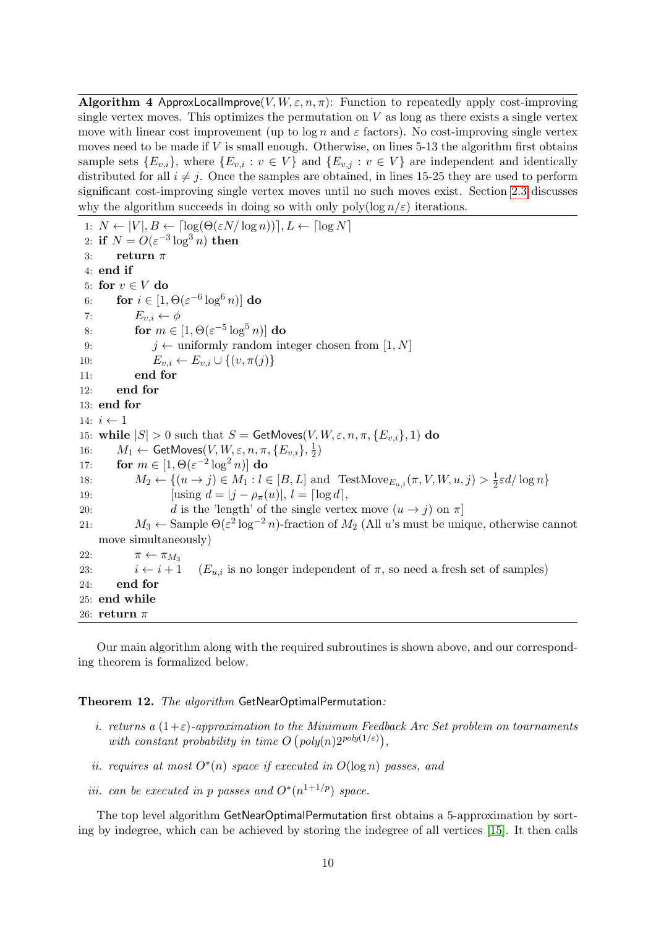<span id="page-9-1"></span>**Algorithm 4 ApproxLocalImprove**(V,  $W, \varepsilon, n, \pi$ ): Function to repeatedly apply cost-improving single vertex moves. This optimizes the permutation on  $V$  as long as there exists a single vertex move with linear cost improvement (up to  $\log n$  and  $\varepsilon$  factors). No cost-improving single vertex moves need to be made if  $V$  is small enough. Otherwise, on lines 5-13 the algorithm first obtains sample sets  ${E_{v,i}}$ , where  ${E_{v,i} : v \in V}$  and  ${E_{v,j} : v \in V}$  are independent and identically distributed for all  $i \neq j$ . Once the samples are obtained, in lines 15-25 they are used to perform significant cost-improving single vertex moves until no such moves exist. Section [2.3](#page-11-0) discusses why the algorithm succeeds in doing so with only poly(log  $n/\varepsilon$ ) iterations.

1:  $N \leftarrow |V|, B \leftarrow \lceil \log(\Theta(\varepsilon N / \log n)) \rceil, L \leftarrow \lceil \log N \rceil$ 2: if  $N = O(\varepsilon^{-3} \log^3 n)$  then 3: return  $\pi$ 4: end if 5: for  $v \in V$  do 6: for  $i \in [1, \Theta(\varepsilon^{-6} \log^6 n)]$  do 7:  $E_{v,i} \leftarrow \phi$ 8: for  $m \in [1, \Theta(\varepsilon^{-5} \log^5 n)]$  do 9:  $j \leftarrow$  uniformly random integer chosen from [1, N] 10:  $E_{v,i} \leftarrow E_{v,i} \cup \{(v, \pi(j))\}$ 11: end for 12: end for 13: end for 14:  $i \leftarrow 1$ 15: while  $|S| > 0$  such that  $S = \mathsf{GetMoves}(V, W, \varepsilon, n, \pi, \{E_{v,i}\}, 1)$  do 16:  $M_1 \leftarrow \mathsf{GetMoves}(V, W, \varepsilon, n, \pi, \{E_{v,i}\}, \frac{1}{2})$  $\frac{1}{2})$ 17: for  $m \in [1, \Theta(\varepsilon^{-2} \log^2 n)]$  do 18:  $M_2 \leftarrow \{(u \to j) \in M_1 : l \in [B, L] \text{ and TestMove}_{E_{u,i}}(\pi, V, W, u, j) > \frac{1}{2}\}$  $\frac{1}{2}\varepsilon d/\log n$ 19:  $[using d = |j - \rho_{\pi}(u)|, l = [\log d],$ 20: d is the 'length' of the single vertex move  $(u \rightarrow j)$  on  $\pi$ ] 21:  $M_3 \leftarrow$  Sample  $\Theta(\varepsilon^2 \log^{-2} n)$ -fraction of  $M_2$  (All u's must be unique, otherwise cannot move simultaneously) 22:  $\pi \leftarrow \pi_{M_3}$ 23:  $i \leftarrow i + 1$   $(E_{u,i}$  is no longer independent of  $\pi$ , so need a fresh set of samples) 24: end for 25: end while 26: **return** π

Our main algorithm along with the required subroutines is shown above, and our corresponding theorem is formalized below.

#### <span id="page-9-0"></span>Theorem 12. The algorithm GetNearOptimalPermutation:

- i. returns a  $(1+\varepsilon)$ -approximation to the Minimum Feedback Arc Set problem on tournaments with constant probability in time  $O(poly(n)2^{poly(1/\varepsilon)}),$
- ii. requires at most  $O^*(n)$  space if executed in  $O(\log n)$  passes, and
- iii. can be executed in p passes and  $O^*(n^{1+1/p})$  space.

The top level algorithm GetNearOptimalPermutation first obtains a 5-approximation by sorting by indegree, which can be achieved by storing the indegree of all vertices [\[15\]](#page-24-11). It then calls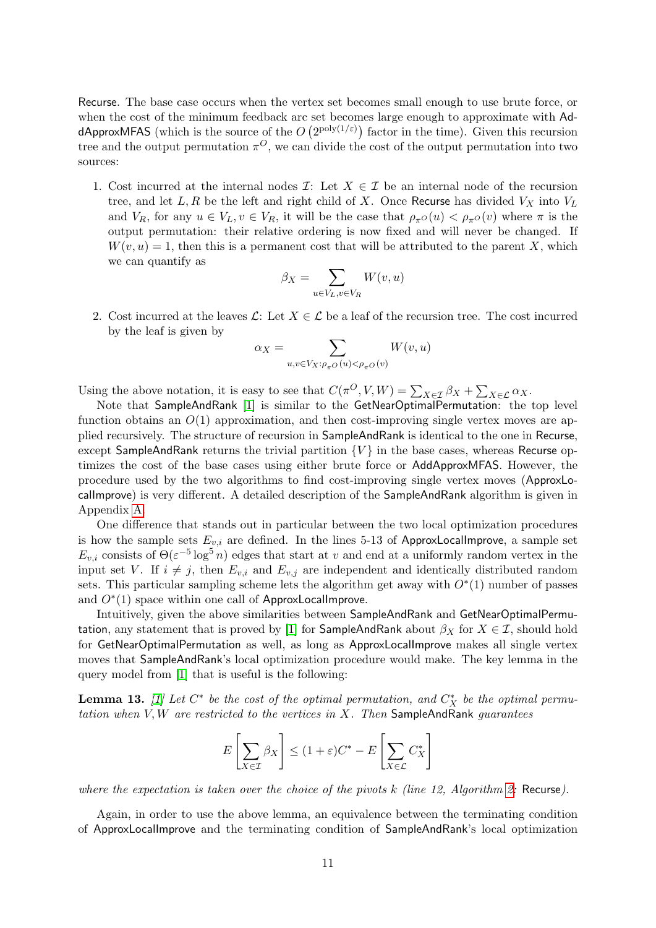Recurse. The base case occurs when the vertex set becomes small enough to use brute force, or when the cost of the minimum feedback arc set becomes large enough to approximate with AddApproxMFAS (which is the source of the  $O(2^{\text{poly}(1/\varepsilon)})$  factor in the time). Given this recursion tree and the output permutation  $\pi^{O}$ , we can divide the cost of the output permutation into two sources:

1. Cost incurred at the internal nodes  $\mathcal{I}:$  Let  $X \in \mathcal{I}$  be an internal node of the recursion tree, and let  $L, R$  be the left and right child of X. Once Recurse has divided  $V_X$  into  $V_L$ and  $V_R$ , for any  $u \in V_L$ ,  $v \in V_R$ , it will be the case that  $\rho_{\pi}o(u) < \rho_{\pi}o(v)$  where  $\pi$  is the output permutation: their relative ordering is now fixed and will never be changed. If  $W(v, u) = 1$ , then this is a permanent cost that will be attributed to the parent X, which we can quantify as

$$
\beta_X = \sum_{u \in V_L, v \in V_R} W(v, u)
$$

2. Cost incurred at the leaves  $\mathcal{L}$ : Let  $X \in \mathcal{L}$  be a leaf of the recursion tree. The cost incurred by the leaf is given by

$$
\alpha_X = \sum_{u,v \in V_X: \rho_{\pi^O}(u) < \rho_{\pi^O}(v)} W(v,u)
$$

Using the above notation, it is easy to see that  $C(\pi^O, V, W) = \sum_{X \in \mathcal{I}} \beta_X + \sum_{X \in \mathcal{L}} \alpha_X$ .

Note that SampleAndRank [\[1\]](#page-24-4) is similar to the GetNearOptimalPermutation: the top level function obtains an  $O(1)$  approximation, and then cost-improving single vertex moves are applied recursively. The structure of recursion in SampleAndRank is identical to the one in Recurse, except SampleAndRank returns the trivial partition  ${V}$  in the base cases, whereas Recurse optimizes the cost of the base cases using either brute force or AddApproxMFAS. However, the procedure used by the two algorithms to find cost-improving single vertex moves (ApproxLocalImprove) is very different. A detailed description of the SampleAndRank algorithm is given in Appendix [A.](#page-25-10)

One difference that stands out in particular between the two local optimization procedures is how the sample sets  $E_{v,i}$  are defined. In the lines 5-13 of ApproxLocalImprove, a sample set  $E_{v,i}$  consists of  $\Theta(\varepsilon^{-5} \log^5 n)$  edges that start at v and end at a uniformly random vertex in the input set V. If  $i \neq j$ , then  $E_{v,i}$  and  $E_{v,j}$  are independent and identically distributed random sets. This particular sampling scheme lets the algorithm get away with  $O<sup>*</sup>(1)$  number of passes and  $O<sup>*</sup>(1)$  space within one call of ApproxLocalImprove.

Intuitively, given the above similarities between SampleAndRank and GetNearOptimalPermu-tation, any statement that is proved by [\[1\]](#page-24-4) for SampleAndRank about  $\beta_X$  for  $X \in \mathcal{I}$ , should hold for GetNearOptimalPermutation as well, as long as ApproxLocalImprove makes all single vertex moves that SampleAndRank's local optimization procedure would make. The key lemma in the query model from [\[1\]](#page-24-4) that is useful is the following:

<span id="page-10-0"></span>**Lemma 13.** [\[1\]](#page-24-4) Let  $C^*$  be the cost of the optimal permutation, and  $C_X^*$  be the optimal permutation when  $V, W$  are restricted to the vertices in X. Then SampleAndRank quarantees

$$
E\left[\sum_{X \in \mathcal{I}} \beta_X\right] \le (1+\varepsilon)C^* - E\left[\sum_{X \in \mathcal{L}} C_X^*\right]
$$

where the expectation is taken over the choice of the pivots  $k$  (line 12, Algorithm [2:](#page-8-1) Recurse).

Again, in order to use the above lemma, an equivalence between the terminating condition of ApproxLocalImprove and the terminating condition of SampleAndRank's local optimization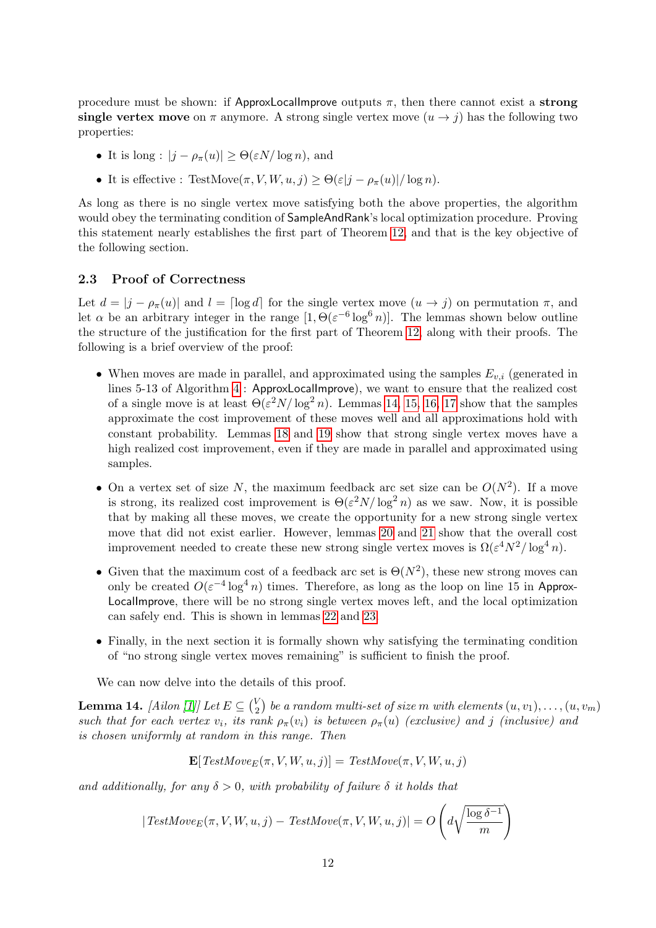procedure must be shown: if ApproxLocalImprove outputs  $\pi$ , then there cannot exist a strong single vertex move on  $\pi$  anymore. A strong single vertex move  $(u \rightarrow j)$  has the following two properties:

- It is long :  $|j \rho_{\pi}(u)| \geq \Theta(\varepsilon N / \log n)$ , and
- It is effective : TestMove $(\pi, V, W, u, j) \geq \Theta(\varepsilon |j \rho_{\pi}(u)| / \log n)$ .

As long as there is no single vertex move satisfying both the above properties, the algorithm would obey the terminating condition of SampleAndRank's local optimization procedure. Proving this statement nearly establishes the first part of Theorem [12,](#page-9-0) and that is the key objective of the following section.

### <span id="page-11-0"></span>2.3 Proof of Correctness

Let  $d = |j - \rho_{\pi}(u)|$  and  $l = \lceil \log d \rceil$  for the single vertex move  $(u \to j)$  on permutation  $\pi$ , and let  $\alpha$  be an arbitrary integer in the range  $[1, \Theta(\varepsilon^{-6} \log^6 n)]$ . The lemmas shown below outline the structure of the justification for the first part of Theorem [12,](#page-9-0) along with their proofs. The following is a brief overview of the proof:

- When moves are made in parallel, and approximated using the samples  $E_{v,i}$  (generated in lines 5-13 of Algorithm [4](#page-9-1) : ApproxLocalImprove), we want to ensure that the realized cost of a single move is at least  $\Theta(\varepsilon^2 N / \log^2 n)$ . Lemmas [14,](#page-11-1) [15,](#page-12-0) [16,](#page-12-1) [17](#page-12-2) show that the samples approximate the cost improvement of these moves well and all approximations hold with constant probability. Lemmas [18](#page-12-3) and [19](#page-13-0) show that strong single vertex moves have a high realized cost improvement, even if they are made in parallel and approximated using samples.
- On a vertex set of size N, the maximum feedback arc set size can be  $O(N^2)$ . If a move is strong, its realized cost improvement is  $\Theta(\varepsilon^2 N / \log^2 n)$  as we saw. Now, it is possible that by making all these moves, we create the opportunity for a new strong single vertex move that did not exist earlier. However, lemmas [20](#page-13-1) and [21](#page-13-2) show that the overall cost improvement needed to create these new strong single vertex moves is  $\Omega(\varepsilon^4 N^2/\log^4 n)$ .
- Given that the maximum cost of a feedback arc set is  $\Theta(N^2)$ , these new strong moves can only be created  $O(\varepsilon^{-4} \log^4 n)$  times. Therefore, as long as the loop on line 15 in Approx-LocalImprove, there will be no strong single vertex moves left, and the local optimization can safely end. This is shown in lemmas [22](#page-13-3) and [23.](#page-14-0)
- Finally, in the next section it is formally shown why satisfying the terminating condition of "no strong single vertex moves remaining" is sufficient to finish the proof.

We can now delve into the details of this proof.

<span id="page-11-1"></span>**Lemma 14.** *[Ailon [\[1\]](#page-24-4)]* Let  $E \subseteq {V_2 \choose 2}$  $\binom{V}{2}$  be a random multi-set of size m with elements  $(u,v_1),\ldots,(u,v_m)$ such that for each vertex  $v_i$ , its rank  $\rho_\pi(v_i)$  is between  $\rho_\pi(u)$  (exclusive) and j (inclusive) and is chosen uniformly at random in this range. Then

$$
\mathbf{E}[TestMove_E(\pi, V, W, u, j)] = TestMove(\pi, V, W, u, j)
$$

and additionally, for any  $\delta > 0$ , with probability of failure  $\delta$  it holds that

$$
|TestMove_E(\pi, V, W, u, j) - TestMove(\pi, V, W, u, j)| = O\left(d\sqrt{\frac{\log \delta^{-1}}{m}}\right)
$$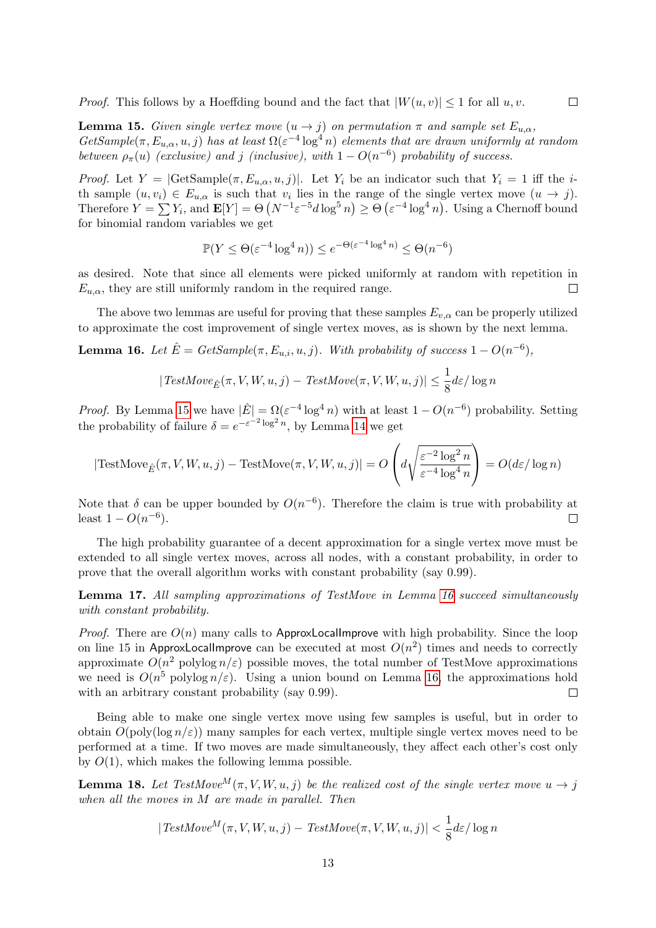*Proof.* This follows by a Hoeffding bound and the fact that  $|W(u, v)| \leq 1$  for all  $u, v$ .

<span id="page-12-0"></span>**Lemma 15.** Given single vertex move  $(u \rightarrow j)$  on permutation  $\pi$  and sample set  $E_{u,\alpha}$ , GetSample( $\pi$ ,  $E_{u,\alpha}$ ,  $u, j$ ) has at least  $\Omega(\varepsilon^{-4} \log^4 n)$  elements that are drawn uniformly at random between  $\rho_{\pi}(u)$  (exclusive) and j (inclusive), with  $1-O(n^{-6})$  probability of success.

 $\Box$ 

*Proof.* Let  $Y = | \text{GetSample}(\pi, E_{u,\alpha}, u, j)|$ . Let  $Y_i$  be an indicator such that  $Y_i = 1$  iff the *i*th sample  $(u, v_i) \in E_{u,\alpha}$  is such that  $v_i$  lies in the range of the single vertex move  $(u \to j)$ . Therefore  $Y = \sum Y_i$ , and  $\mathbf{E}[Y] = \Theta\left(N^{-1} \varepsilon^{-5} d \log^5 n\right) \ge \Theta\left(\varepsilon^{-4} \log^4 n\right)$ . Using a Chernoff bound for binomial random variables we get

$$
\mathbb{P}(Y \leq \Theta(\varepsilon^{-4} \log^4 n)) \leq e^{-\Theta(\varepsilon^{-4} \log^4 n)} \leq \Theta(n^{-6})
$$

as desired. Note that since all elements were picked uniformly at random with repetition in  $E_{u,\alpha}$ , they are still uniformly random in the required range.  $\Box$ 

The above two lemmas are useful for proving that these samples  $E_{v,\alpha}$  can be properly utilized to approximate the cost improvement of single vertex moves, as is shown by the next lemma.

<span id="page-12-1"></span>**Lemma 16.** Let  $\hat{E} = GetSample(\pi, E_{u,i}, u, j)$ . With probability of success  $1 - O(n^{-6})$ ,

$$
|\text{TestMove}_{\hat{E}}(\pi, V, W, u, j) - \text{TestMove}(\pi, V, W, u, j)| \le \frac{1}{8} d\varepsilon / \log n
$$

*Proof.* By Lemma [15](#page-12-0) we have  $|\hat{E}| = \Omega(\varepsilon^{-4} \log^4 n)$  with at least  $1 - O(n^{-6})$  probability. Setting the probability of failure  $\delta = e^{-\varepsilon^{-2} \log^2 n}$ , by Lemma [14](#page-11-1) we get

$$
|\text{TestMove}_{\hat{E}}(\pi, V, W, u, j) - \text{TestMove}(\pi, V, W, u, j)| = O\left(d\sqrt{\frac{\varepsilon^{-2} \log^2 n}{\varepsilon^{-4} \log^4 n}}\right) = O(d\varepsilon / \log n)
$$

Note that  $\delta$  can be upper bounded by  $O(n^{-6})$ . Therefore the claim is true with probability at least  $1 - O(n^{-6})$ .  $\Box$ 

The high probability guarantee of a decent approximation for a single vertex move must be extended to all single vertex moves, across all nodes, with a constant probability, in order to prove that the overall algorithm works with constant probability (say 0.99).

<span id="page-12-2"></span>Lemma 17. All sampling approximations of TestMove in Lemma [16](#page-12-1) succeed simultaneously with constant probability.

*Proof.* There are  $O(n)$  many calls to ApproxLocalImprove with high probability. Since the loop on line 15 in ApproxLocallmprove can be executed at most  $O(n^2)$  times and needs to correctly approximate  $O(n^2)$  polylog  $n/\varepsilon$ ) possible moves, the total number of TestMove approximations we need is  $O(n^5 \text{ polylog } n/\varepsilon)$ . Using a union bound on Lemma [16,](#page-12-1) the approximations hold with an arbitrary constant probability (say 0.99).  $\Box$ 

Being able to make one single vertex move using few samples is useful, but in order to obtain  $O(poly(\log n/\varepsilon))$  many samples for each vertex, multiple single vertex moves need to be performed at a time. If two moves are made simultaneously, they affect each other's cost only by  $O(1)$ , which makes the following lemma possible.

<span id="page-12-3"></span>**Lemma 18.** Let TestMove<sup>M</sup>( $\pi$ , V, W, u, j) be the realized cost of the single vertex move  $u \to j$ when all the moves in M are made in parallel. Then

$$
|TestMove^M(\pi, V, W, u, j) - TestMove(\pi, V, W, u, j)| < \frac{1}{8} d\varepsilon / \log n
$$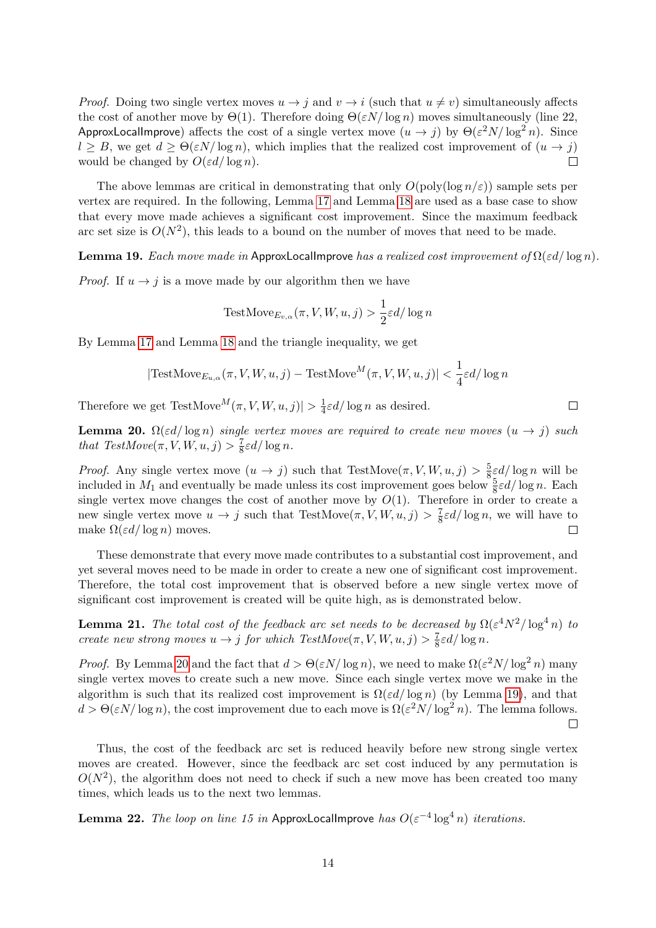*Proof.* Doing two single vertex moves  $u \to j$  and  $v \to i$  (such that  $u \neq v$ ) simultaneously affects the cost of another move by  $\Theta(1)$ . Therefore doing  $\Theta(\varepsilon N/\log n)$  moves simultaneously (line 22, ApproxLocalImprove) affects the cost of a single vertex move  $(u \to j)$  by  $\Theta(\varepsilon^2 N / \log^2 n)$ . Since  $l \geq B$ , we get  $d \geq \Theta(\varepsilon N/\log n)$ , which implies that the realized cost improvement of  $(u \to j)$ would be changed by  $O(\varepsilon d / \log n)$ .  $\Box$ 

The above lemmas are critical in demonstrating that only  $O(\text{poly}(\log n/\varepsilon))$  sample sets per vertex are required. In the following, Lemma [17](#page-12-2) and Lemma [18](#page-12-3) are used as a base case to show that every move made achieves a significant cost improvement. Since the maximum feedback arc set size is  $O(N^2)$ , this leads to a bound on the number of moves that need to be made.

<span id="page-13-0"></span>**Lemma 19.** Each move made in ApproxLocalImprove has a realized cost improvement of  $\Omega(\varepsilon d / \log n)$ .

*Proof.* If  $u \rightarrow j$  is a move made by our algorithm then we have

TestMove<sub>Ev,α</sub>
$$
(\pi, V, W, u, j) > \frac{1}{2} \varepsilon d / \log n
$$

By Lemma [17](#page-12-2) and Lemma [18](#page-12-3) and the triangle inequality, we get

$$
|\text{TestMove}_{E_{u,\alpha}}(\pi, V, W, u, j) - \text{TestMove}^M(\pi, V, W, u, j)| < \frac{1}{4}\varepsilon d/\log n
$$

 $\Box$ 

Therefore we get TestMove $^M(\pi, V, W, u, j)| > \frac{1}{4}$  $\frac{1}{4}\varepsilon d/\log n$  as desired.

<span id="page-13-1"></span>**Lemma 20.**  $\Omega(\varepsilon d / \log n)$  single vertex moves are required to create new moves  $(u \to j)$  such that  $TestMove(\pi, V, W, u, j) > \frac{7}{8}$  $rac{7}{8}\varepsilon d/\log n$ .

*Proof.* Any single vertex move  $(u \to j)$  such that TestMove $(\pi, V, W, u, j) > \frac{5}{8}$  $\frac{5}{8}\varepsilon d/\log n$  will be included in  $M_1$  and eventually be made unless its cost improvement goes below  $\frac{5}{8}\varepsilon d/\log n$ . Each single vertex move changes the cost of another move by  $O(1)$ . Therefore in order to create a new single vertex move  $u \to j$  such that TestMove $(\pi, V, W, u, j) > \frac{7}{8}$  $\frac{7}{8}\varepsilon d/\log n$ , we will have to make  $\Omega(\varepsilon d / \log n)$  moves.  $\Box$ 

These demonstrate that every move made contributes to a substantial cost improvement, and yet several moves need to be made in order to create a new one of significant cost improvement. Therefore, the total cost improvement that is observed before a new single vertex move of significant cost improvement is created will be quite high, as is demonstrated below.

<span id="page-13-2"></span>**Lemma 21.** The total cost of the feedback arc set needs to be decreased by  $\Omega(\varepsilon^4 N^2/\log^4 n)$  to create new strong moves  $u \to j$  for which TestMove $(\pi, V, W, u, j) > \frac{7}{8}$  $rac{7}{8}\varepsilon d/\log n$ .

*Proof.* By Lemma [20](#page-13-1) and the fact that  $d > \Theta(\varepsilon N/\log n)$ , we need to make  $\Omega(\varepsilon^2 N/\log^2 n)$  many single vertex moves to create such a new move. Since each single vertex move we make in the algorithm is such that its realized cost improvement is  $\Omega(\varepsilon d / \log n)$  (by Lemma [19\)](#page-13-0), and that  $d > \Theta(\varepsilon N/\log n)$ , the cost improvement due to each move is  $\Omega(\varepsilon^2 N/\log^2 n)$ . The lemma follows.  $\Box$ 

Thus, the cost of the feedback arc set is reduced heavily before new strong single vertex moves are created. However, since the feedback arc set cost induced by any permutation is  $O(N^2)$ , the algorithm does not need to check if such a new move has been created too many times, which leads us to the next two lemmas.

<span id="page-13-3"></span>**Lemma 22.** The loop on line 15 in ApproxLocalImprove has  $O(\varepsilon^{-4} \log^4 n)$  iterations.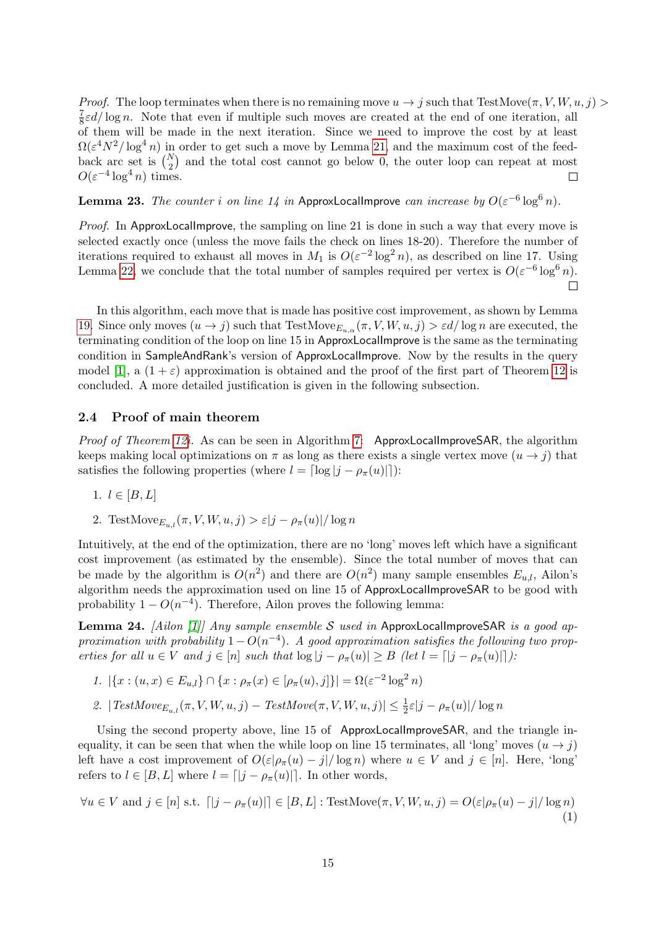*Proof.* The loop terminates when there is no remaining move  $u \to j$  such that TestMove $(\pi, V, W, u, j) >$ 7  $\frac{7}{8}\varepsilon d/\log n$ . Note that even if multiple such moves are created at the end of one iteration, all of them will be made in the next iteration. Since we need to improve the cost by at least  $\Omega(\varepsilon^4 N^2/\log^4 n)$  in order to get such a move by Lemma [21,](#page-13-2) and the maximum cost of the feedback arc set is  $\binom{N}{2}$  and the total cost cannot go below 0, the outer loop can repeat at most  $O(\varepsilon^{-4} \log^4 n)$  times.  $\Box$ 

<span id="page-14-0"></span>**Lemma 23.** The counter i on line 14 in ApproxLocalImprove can increase by  $O(\varepsilon^{-6} \log^6 n)$ .

*Proof.* In ApproxLocalImprove, the sampling on line 21 is done in such a way that every move is selected exactly once (unless the move fails the check on lines 18-20). Therefore the number of iterations required to exhaust all moves in  $M_1$  is  $O(\varepsilon^{-2} \log^2 n)$ , as described on line 17. Using Lemma [22,](#page-13-3) we conclude that the total number of samples required per vertex is  $O(\varepsilon^{-6} \log^6 n)$ .  $\Box$ 

In this algorithm, each move that is made has positive cost improvement, as shown by Lemma [19.](#page-13-0) Since only moves  $(u \to j)$  such that TestMove<sub>Eu,  $\alpha(\pi, V, W, u, j) > \varepsilon d/\log n$  are executed, the</sub> terminating condition of the loop on line 15 in ApproxLocalImprove is the same as the terminating condition in SampleAndRank's version of ApproxLocalImprove. Now by the results in the query model [\[1\]](#page-24-4), a  $(1 + \varepsilon)$  approximation is obtained and the proof of the first part of Theorem [12](#page-9-0) is concluded. A more detailed justification is given in the following subsection.

### 2.4 Proof of main theorem

Proof of Theorem [12i](#page-9-0). As can be seen in Algorithm [7:](#page-26-0) ApproxLocalImproveSAR, the algorithm keeps making local optimizations on  $\pi$  as long as there exists a single vertex move  $(u \rightarrow j)$  that satisfies the following properties (where  $l = \lfloor \log |j - \rho_{\pi}(u)| \rfloor$ ):

$$
1. \, l \in [B, L]
$$

2. TestMove $E_{u,l}(\pi, V, W, u, j) > \varepsilon |j - \rho_\pi(u)| / \log n$ 

Intuitively, at the end of the optimization, there are no 'long' moves left which have a significant cost improvement (as estimated by the ensemble). Since the total number of moves that can be made by the algorithm is  $O(n^2)$  and there are  $O(n^2)$  many sample ensembles  $E_{u,l}$ , Ailon's algorithm needs the approximation used on line 15 of ApproxLocalImproveSAR to be good with probability  $1 - O(n^{-4})$ . Therefore, Ailon proves the following lemma:

**Lemma 24.** [Ailon [\[1\]](#page-24-4)] Any sample ensemble S used in ApproxLocalImproveSAR is a good approximation with probability  $1 - O(n^{-4})$ . A good approximation satisfies the following two properties for all  $u \in V$  and  $j \in [n]$  such that  $\log |j - \rho_{\pi}(u)| \geq B$  (let  $l = [|j - \rho_{\pi}(u)|]$ ):

- 1.  $|\{x : (u, x) \in E_{u,l}\}\cap \{x : \rho_{\pi}(x) \in [\rho_{\pi}(u), j]\}| = \Omega(\varepsilon^{-2} \log^2 n)$
- 2.  $|TestMove_{E_{u,l}}(\pi, V, W, u, j) TestMove(\pi, V, W, u, j)| \leq \frac{1}{2}\varepsilon|j \rho_{\pi}(u)|/\log n$

Using the second property above, line 15 of ApproxLocalImproveSAR, and the triangle inequality, it can be seen that when the while loop on line 15 terminates, all 'long' moves  $(u \rightarrow j)$ left have a cost improvement of  $O(\varepsilon|\rho_\pi(u)-j|/\log n)$  where  $u \in V$  and  $j \in [n]$ . Here, 'long' refers to  $l \in [B, L]$  where  $l = \lfloor |j - \rho_{\pi}(u)| \rfloor$ . In other words,

<span id="page-14-1"></span>
$$
\forall u \in V \text{ and } j \in [n] \text{ s.t. } \lceil |j - \rho_{\pi}(u)| \rceil \in [B, L] : \text{TestMove}(\pi, V, W, u, j) = O(\varepsilon | \rho_{\pi}(u) - j | / \log n)
$$
\n(1)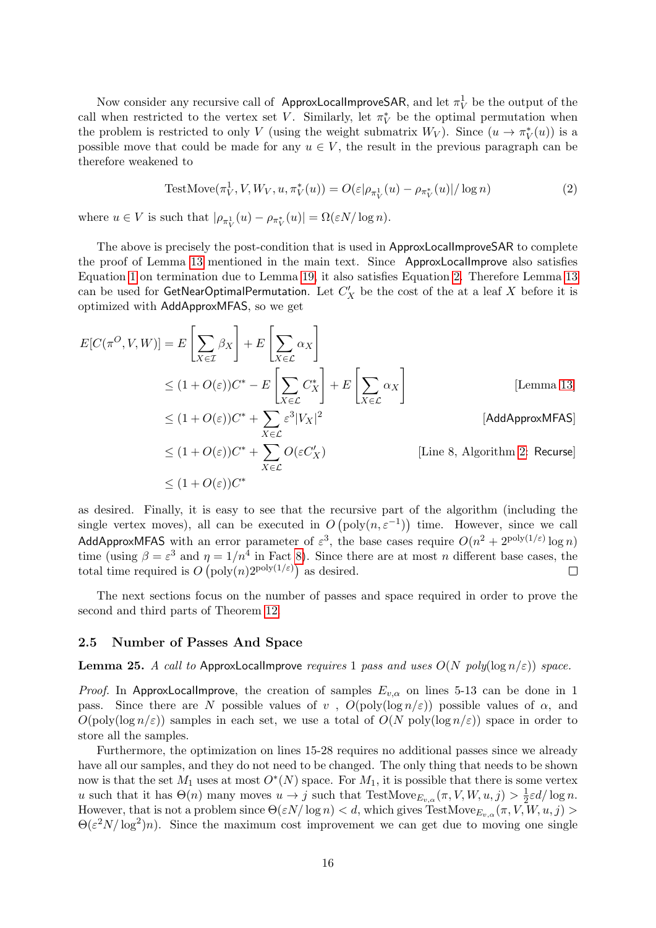Now consider any recursive call of ApproxLocalImproveSAR, and let  $\pi^1_V$  be the output of the call when restricted to the vertex set V. Similarly, let  $\pi_V^*$  be the optimal permutation when the problem is restricted to only V (using the weight submatrix  $W_V$ ). Since  $(u \to \pi_V^*(u))$  is a possible move that could be made for any  $u \in V$ , the result in the previous paragraph can be therefore weakened to

<span id="page-15-0"></span>TestMove
$$
(\pi_V^1, V, W_V, u, \pi_V^*(u)) = O(\varepsilon|\rho_{\pi_V^1}(u) - \rho_{\pi_V^*}(u)|/\log n)
$$
 (2)

where  $u \in V$  is such that  $|\rho_{\pi_V^1}(u) - \rho_{\pi_V^*}(u)| = \Omega(\varepsilon N/\log n)$ .

The above is precisely the post-condition that is used in ApproxLocalImproveSAR to complete the proof of Lemma [13](#page-10-0) mentioned in the main text. Since ApproxLocalImprove also satisfies Equation [1](#page-14-1) on termination due to Lemma [19,](#page-13-0) it also satisfies Equation [2.](#page-15-0) Therefore Lemma [13](#page-10-0) can be used for  $\mathsf{GetNearOptimalPermutation}.$  Let  $C_X'$  be the cost of the at a leaf  $X$  before it is optimized with AddApproxMFAS, so we get

$$
E[C(\pi^{O}, V, W)] = E\left[\sum_{X \in \mathcal{I}} \beta_{X}\right] + E\left[\sum_{X \in \mathcal{L}} \alpha_{X}\right]
$$
  
\n
$$
\leq (1 + O(\varepsilon))C^{*} - E\left[\sum_{X \in \mathcal{L}} C_{X}^{*}\right] + E\left[\sum_{X \in \mathcal{L}} \alpha_{X}\right]
$$
 [Lemma 13]  
\n
$$
\leq (1 + O(\varepsilon))C^{*} + \sum_{X \in \mathcal{L}} \varepsilon^{3} |V_{X}|^{2}
$$
 [AddApproxMFAST]

$$
\leq (1 + O(\varepsilon))C^* + \sum_{X \in \mathcal{L}} O(\varepsilon C_X')
$$
 [Line 8, Algorithm 2: Recurse]  

$$
\leq (1 + O(\varepsilon))C^*
$$

as desired. Finally, it is easy to see that the recursive part of the algorithm (including the single vertex moves), all can be executed in  $O(poly(n, \varepsilon^{-1}))$  time. However, since we call AddApproxMFAS with an error parameter of  $\varepsilon^3$ , the base cases require  $O(n^2 + 2^{\text{poly}(1/\varepsilon)} \log n)$ time (using  $\beta = \varepsilon^3$  and  $\eta = 1/n^4$  in Fact [8\)](#page-6-0). Since there are at most n different base cases, the total time required is  $O(poly(n)2^{poly(1/\varepsilon)})$  as desired.  $\Box$ 

The next sections focus on the number of passes and space required in order to prove the second and third parts of Theorem [12.](#page-9-0)

### 2.5 Number of Passes And Space

### <span id="page-15-1"></span>Lemma 25. A call to ApproxLocalImprove requires 1 pass and uses  $O(N \text{ poly}(\log n/\varepsilon))$  space.

*Proof.* In ApproxLocalImprove, the creation of samples  $E_{v,\alpha}$  on lines 5-13 can be done in 1 pass. Since there are N possible values of v,  $O(poly(\log n/\varepsilon))$  possible values of  $\alpha$ , and  $O(poly(\log n/\varepsilon))$  samples in each set, we use a total of  $O(N \text{ poly}(\log n/\varepsilon))$  space in order to store all the samples.

Furthermore, the optimization on lines 15-28 requires no additional passes since we already have all our samples, and they do not need to be changed. The only thing that needs to be shown now is that the set  $M_1$  uses at most  $O^*(N)$  space. For  $M_1$ , it is possible that there is some vertex u such that it has  $\Theta(n)$  many moves  $u \to j$  such that TestMove $E_{v,\alpha}(\pi, V, W, u, j) > \frac{1}{2}$  $\frac{1}{2}\varepsilon d/\log n$ . However, that is not a problem since  $\Theta(\varepsilon N/\log n) < d$ , which gives TestMove $_{E_{v,\alpha}}(\pi, V, W, u, j) >$  $\Theta(\varepsilon^2 N/\log^2)n$ . Since the maximum cost improvement we can get due to moving one single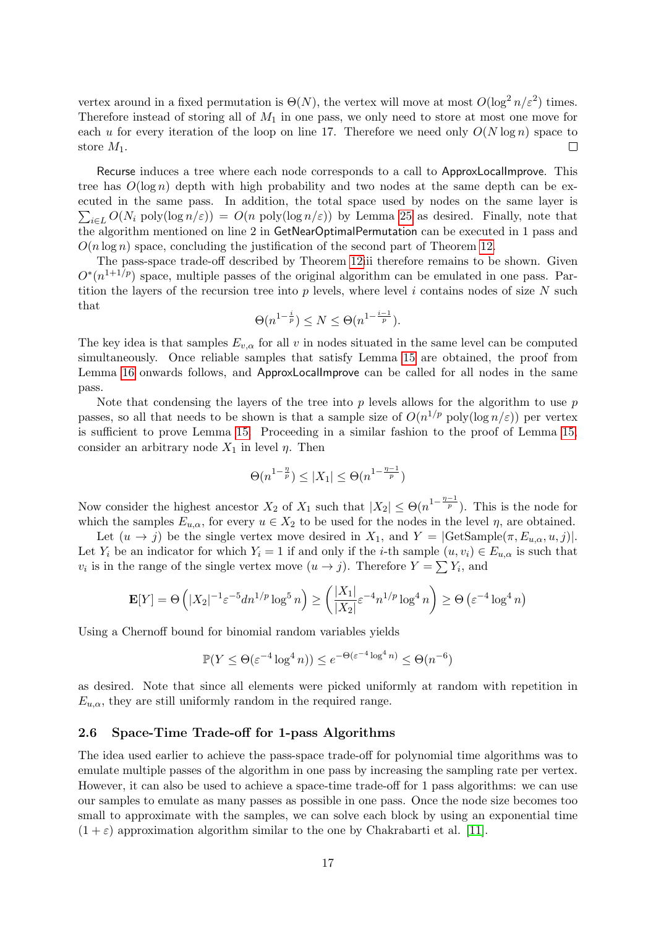vertex around in a fixed permutation is  $\Theta(N)$ , the vertex will move at most  $O(\log^2 n/\varepsilon^2)$  times. Therefore instead of storing all of  $M_1$  in one pass, we only need to store at most one move for each u for every iteration of the loop on line 17. Therefore we need only  $O(N \log n)$  space to store  $M_1$ .  $\Box$ 

Recurse induces a tree where each node corresponds to a call to ApproxLocalImprove. This tree has  $O(\log n)$  depth with high probability and two nodes at the same depth can be executed in the same pass. In addition, the total space used by nodes on the same layer is  $\sum_{i\in L} O(N_i \text{ poly}(\log n/\varepsilon)) = O(n \text{ poly}(\log n/\varepsilon))$  by Lemma [25](#page-15-1) as desired. Finally, note that the algorithm mentioned on line 2 in GetNearOptimalPermutation can be executed in 1 pass and  $O(n \log n)$  space, concluding the justification of the second part of Theorem [12.](#page-9-0)

The pass-space trade-off described by Theorem [12i](#page-9-0)ii therefore remains to be shown. Given  $O^*(n^{1+1/p})$  space, multiple passes of the original algorithm can be emulated in one pass. Partition the layers of the recursion tree into  $p$  levels, where level  $i$  contains nodes of size  $N$  such that

$$
\Theta(n^{1-\frac{i}{p}}) \le N \le \Theta(n^{1-\frac{i-1}{p}}).
$$

The key idea is that samples  $E_{v,\alpha}$  for all v in nodes situated in the same level can be computed simultaneously. Once reliable samples that satisfy Lemma [15](#page-12-0) are obtained, the proof from Lemma [16](#page-12-1) onwards follows, and ApproxLocalImprove can be called for all nodes in the same pass.

Note that condensing the layers of the tree into  $p$  levels allows for the algorithm to use  $p$ passes, so all that needs to be shown is that a sample size of  $O(n^{1/p} \text{ poly}(\log n/\varepsilon))$  per vertex is sufficient to prove Lemma [15.](#page-12-0) Proceeding in a similar fashion to the proof of Lemma [15,](#page-12-0) consider an arbitrary node  $X_1$  in level  $\eta$ . Then

$$
\Theta(n^{1-\frac{\eta}{p}}) \leq |X_1| \leq \Theta(n^{1-\frac{\eta-1}{p}})
$$

Now consider the highest ancestor  $X_2$  of  $X_1$  such that  $|X_2| \leq \Theta(n^{1-\frac{\eta-1}{p}})$ . This is the node for which the samples  $E_{u,\alpha}$ , for every  $u \in X_2$  to be used for the nodes in the level  $\eta$ , are obtained.

Let  $(u \to j)$  be the single vertex move desired in  $X_1$ , and  $Y = | \text{GetSample}(\pi, E_{u,\alpha}, u, j)|$ . Let  $Y_i$  be an indicator for which  $Y_i = 1$  if and only if the *i*-th sample  $(u, v_i) \in E_{u,\alpha}$  is such that  $v_i$  is in the range of the single vertex move  $(u \to j)$ . Therefore  $Y = \sum Y_i$ , and

$$
\mathbf{E}[Y] = \Theta\left(|X_2|^{-1} \varepsilon^{-5} dn^{1/p} \log^5 n\right) \ge \left(\frac{|X_1|}{|X_2|} \varepsilon^{-4} n^{1/p} \log^4 n\right) \ge \Theta\left(\varepsilon^{-4} \log^4 n\right)
$$

Using a Chernoff bound for binomial random variables yields

$$
\mathbb{P}(Y \le \Theta(\varepsilon^{-4} \log^4 n)) \le e^{-\Theta(\varepsilon^{-4} \log^4 n)} \le \Theta(n^{-6})
$$

as desired. Note that since all elements were picked uniformly at random with repetition in  $E_{u,\alpha}$ , they are still uniformly random in the required range.

#### 2.6 Space-Time Trade-off for 1-pass Algorithms

The idea used earlier to achieve the pass-space trade-off for polynomial time algorithms was to emulate multiple passes of the algorithm in one pass by increasing the sampling rate per vertex. However, it can also be used to achieve a space-time trade-off for 1 pass algorithms: we can use our samples to emulate as many passes as possible in one pass. Once the node size becomes too small to approximate with the samples, we can solve each block by using an exponential time  $(1 + \varepsilon)$  approximation algorithm similar to the one by Chakrabarti et al. [\[11\]](#page-24-0).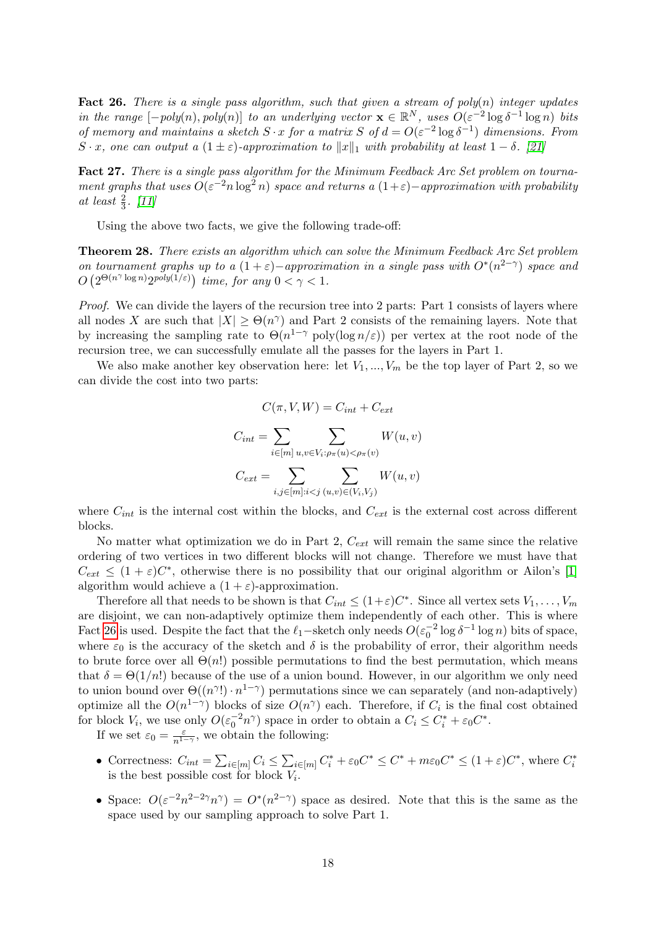<span id="page-17-0"></span>Fact 26. There is a single pass algorithm, such that given a stream of  $poly(n)$  integer updates in the range  $[-poly(n), poly(n)]$  to an underlying vector  $\mathbf{x} \in \mathbb{R}^N$ , uses  $O(\varepsilon^{-2} \log \delta^{-1} \log n)$  bits of memory and maintains a sketch  $S \cdot x$  for a matrix  $S$  of  $d = O(\varepsilon^{-2} \log \delta^{-1})$  dimensions. From S · x, one can output a  $(1 \pm \varepsilon)$ -approximation to  $||x||_1$  with probability at least  $1 - \delta$ . [\[21\]](#page-25-11)

Fact 27. There is a single pass algorithm for the Minimum Feedback Arc Set problem on tournament graphs that uses  $O(\varepsilon^{-2} n \log^2 n)$  space and returns a  $(1+\varepsilon)-$ approximation with probability at least  $\frac{2}{3}$ . [\[11\]](#page-24-0)

Using the above two facts, we give the following trade-off:

<span id="page-17-1"></span>Theorem 28. There exists an algorithm which can solve the Minimum Feedback Arc Set problem on tournament graphs up to a  $(1+\varepsilon)$ -approximation in a single pass with  $O^*(n^{2-\gamma})$  space and  $O\left(2^{\Theta(n^{\gamma}\log n)}2^{poly(1/\varepsilon)}\right)$  time, for any  $0 < \gamma < 1$ .

Proof. We can divide the layers of the recursion tree into 2 parts: Part 1 consists of layers where all nodes X are such that  $|X| \geq \Theta(n^{\gamma})$  and Part 2 consists of the remaining layers. Note that by increasing the sampling rate to  $\Theta(n^{1-\gamma} \text{ poly}(\log n/\varepsilon))$  per vertex at the root node of the recursion tree, we can successfully emulate all the passes for the layers in Part 1.

We also make another key observation here: let  $V_1, ..., V_m$  be the top layer of Part 2, so we can divide the cost into two parts:

$$
C(\pi, V, W) = C_{int} + C_{ext}
$$

$$
C_{int} = \sum_{i \in [m]} \sum_{u,v \in V_i : \rho_{\pi}(u) < \rho_{\pi}(v)} W(u,v)
$$
\n
$$
C_{ext} = \sum_{i,j \in [m]: i < j} \sum_{(u,v) \in (V_i, V_j)} W(u,v)
$$

where  $C_{int}$  is the internal cost within the blocks, and  $C_{ext}$  is the external cost across different blocks.

No matter what optimization we do in Part 2,  $C_{ext}$  will remain the same since the relative ordering of two vertices in two different blocks will not change. Therefore we must have that  $C_{ext} \leq (1+\varepsilon)C^*$ , otherwise there is no possibility that our original algorithm or Ailon's [\[1\]](#page-24-4) algorithm would achieve a  $(1 + \varepsilon)$ -approximation.

Therefore all that needs to be shown is that  $C_{int} \leq (1+\varepsilon)C^*$ . Since all vertex sets  $V_1, \ldots, V_m$ are disjoint, we can non-adaptively optimize them independently of each other. This is where Fact [26](#page-17-0) is used. Despite the fact that the  $\ell_1$ −sketch only needs  $O(\varepsilon_0^{-2} \log \delta^{-1} \log n)$  bits of space, where  $\varepsilon_0$  is the accuracy of the sketch and  $\delta$  is the probability of error, their algorithm needs to brute force over all  $\Theta(n!)$  possible permutations to find the best permutation, which means that  $\delta = \Theta(1/n!)$  because of the use of a union bound. However, in our algorithm we only need to union bound over  $\Theta((n^{\gamma}) \cdot n^{1-\gamma})$  permutations since we can separately (and non-adaptively) optimize all the  $O(n^{1-\gamma})$  blocks of size  $O(n^{\gamma})$  each. Therefore, if  $C_i$  is the final cost obtained for block  $V_i$ , we use only  $O(\varepsilon_0^{-2}n^{\gamma})$  space in order to obtain a  $C_i \leq C_i^* + \varepsilon_0 C^*$ .

If we set  $\varepsilon_0 = \frac{\varepsilon}{n^{1-\gamma}}$ , we obtain the following:

- Correctness:  $C_{int} = \sum_{i \in [m]} C_i \leq \sum_{i \in [m]} C_i^* + \varepsilon_0 C^* \leq C^* + m \varepsilon_0 C^* \leq (1 + \varepsilon) C^*$ , where  $C_i^*$ is the best possible cost for block  $V_i$ .
- Space:  $O(\varepsilon^{-2}n^{2-2\gamma}n^{\gamma}) = O^*(n^{2-\gamma})$  space as desired. Note that this is the same as the space used by our sampling approach to solve Part 1.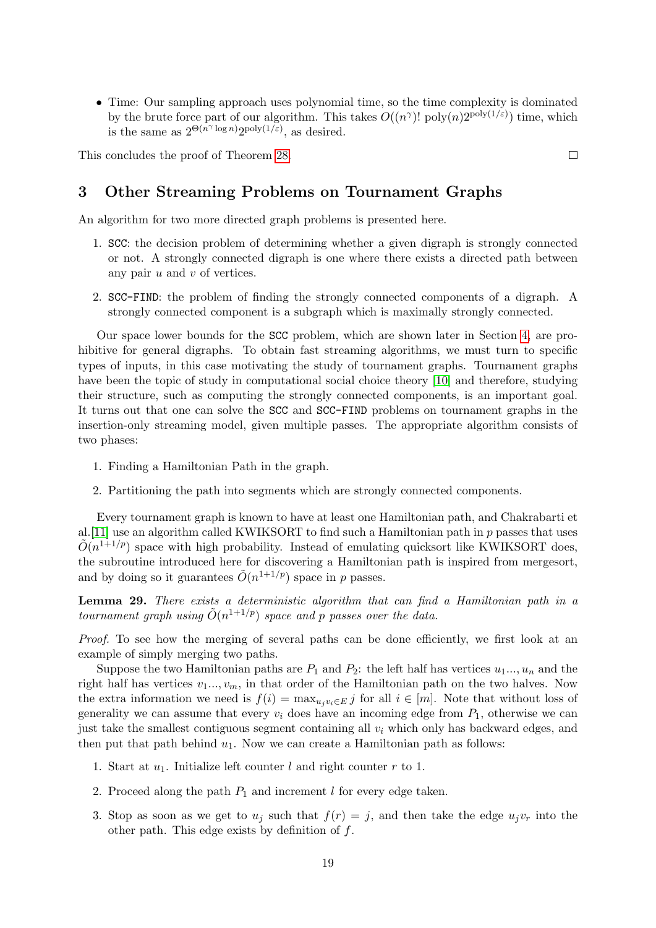• Time: Our sampling approach uses polynomial time, so the time complexity is dominated by the brute force part of our algorithm. This takes  $O((n^{\gamma})! \text{ poly}(n)2^{\text{poly}(1/\varepsilon)})$  time, which is the same as  $2^{\Theta(n^{\gamma} \log n)} 2^{\text{poly}(1/\varepsilon)}$ , as desired.

This concludes the proof of Theorem [28.](#page-17-1)

# <span id="page-18-0"></span>3 Other Streaming Problems on Tournament Graphs

An algorithm for two more directed graph problems is presented here.

- 1. SCC: the decision problem of determining whether a given digraph is strongly connected or not. A strongly connected digraph is one where there exists a directed path between any pair  $u$  and  $v$  of vertices.
- 2. SCC-FIND: the problem of finding the strongly connected components of a digraph. A strongly connected component is a subgraph which is maximally strongly connected.

Our space lower bounds for the SCC problem, which are shown later in Section [4,](#page-20-0) are prohibitive for general digraphs. To obtain fast streaming algorithms, we must turn to specific types of inputs, in this case motivating the study of tournament graphs. Tournament graphs have been the topic of study in computational social choice theory [\[10\]](#page-24-13) and therefore, studying their structure, such as computing the strongly connected components, is an important goal. It turns out that one can solve the SCC and SCC-FIND problems on tournament graphs in the insertion-only streaming model, given multiple passes. The appropriate algorithm consists of two phases:

- 1. Finding a Hamiltonian Path in the graph.
- 2. Partitioning the path into segments which are strongly connected components.

Every tournament graph is known to have at least one Hamiltonian path, and Chakrabarti et al. [\[11\]](#page-24-0) use an algorithm called KWIKSORT to find such a Hamiltonian path in  $p$  passes that uses  $\tilde{O}(n^{1+1/p})$  space with high probability. Instead of emulating quicksort like KWIKSORT does, the subroutine introduced here for discovering a Hamiltonian path is inspired from mergesort, and by doing so it guarantees  $\tilde{O}(n^{1+1/p})$  space in p passes.

Lemma 29. There exists a deterministic algorithm that can find a Hamiltonian path in a tournament graph using  $\tilde{O}(n^{1+1/p})$  space and p passes over the data.

Proof. To see how the merging of several paths can be done efficiently, we first look at an example of simply merging two paths.

Suppose the two Hamiltonian paths are  $P_1$  and  $P_2$ : the left half has vertices  $u_1, \ldots, u_n$  and the right half has vertices  $v_1...$ ,  $v_m$ , in that order of the Hamiltonian path on the two halves. Now the extra information we need is  $f(i) = \max_{u_i v_i \in E} j$  for all  $i \in [m]$ . Note that without loss of generality we can assume that every  $v_i$  does have an incoming edge from  $P_1$ , otherwise we can just take the smallest contiguous segment containing all  $v_i$  which only has backward edges, and then put that path behind  $u_1$ . Now we can create a Hamiltonian path as follows:

- 1. Start at  $u_1$ . Initialize left counter l and right counter r to 1.
- 2. Proceed along the path  $P_1$  and increment l for every edge taken.
- 3. Stop as soon as we get to  $u_i$  such that  $f(r) = j$ , and then take the edge  $u_i v_r$  into the other path. This edge exists by definition of  $f$ .

 $\Box$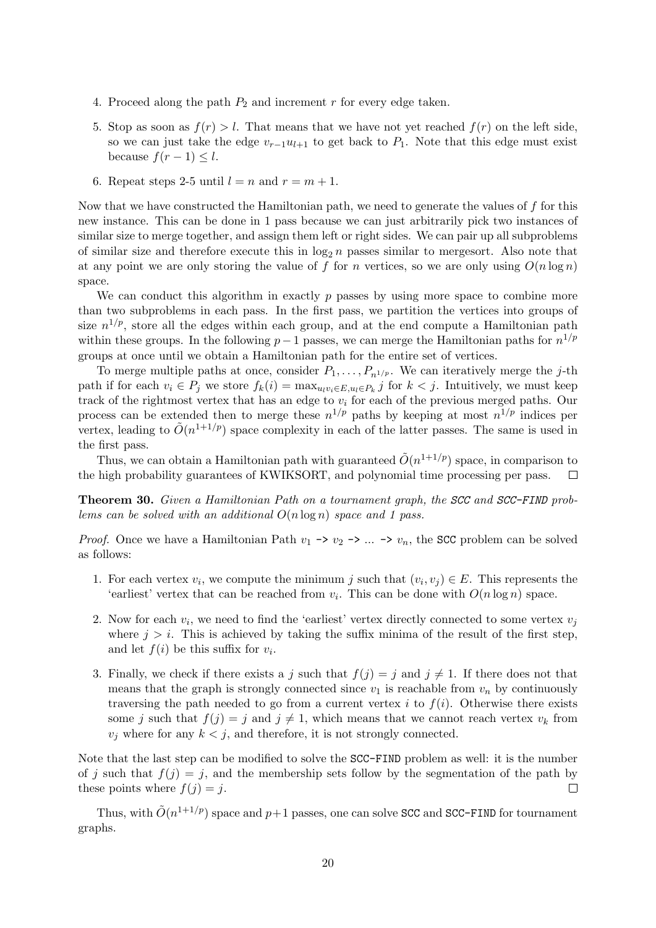- 4. Proceed along the path  $P_2$  and increment r for every edge taken.
- 5. Stop as soon as  $f(r) > l$ . That means that we have not yet reached  $f(r)$  on the left side, so we can just take the edge  $v_{r-1}u_{l+1}$  to get back to  $P_1$ . Note that this edge must exist because  $f(r-1) \leq l$ .
- 6. Repeat steps 2-5 until  $l = n$  and  $r = m + 1$ .

Now that we have constructed the Hamiltonian path, we need to generate the values of  $f$  for this new instance. This can be done in 1 pass because we can just arbitrarily pick two instances of similar size to merge together, and assign them left or right sides. We can pair up all subproblems of similar size and therefore execute this in  $\log_2 n$  passes similar to mergesort. Also note that at any point we are only storing the value of f for n vertices, so we are only using  $O(n \log n)$ space.

We can conduct this algorithm in exactly  $p$  passes by using more space to combine more than two subproblems in each pass. In the first pass, we partition the vertices into groups of size  $n^{1/p}$ , store all the edges within each group, and at the end compute a Hamiltonian path within these groups. In the following  $p-1$  passes, we can merge the Hamiltonian paths for  $n^{1/p}$ groups at once until we obtain a Hamiltonian path for the entire set of vertices.

To merge multiple paths at once, consider  $P_1, \ldots, P_{n^{1/p}}$ . We can iteratively merge the j-th path if for each  $v_i \in P_j$  we store  $f_k(i) = \max_{u_i v_i \in E, u_i \in P_k} j$  for  $k < j$ . Intuitively, we must keep track of the rightmost vertex that has an edge to  $v_i$  for each of the previous merged paths. Our process can be extended then to merge these  $n^{1/p}$  paths by keeping at most  $n^{1/p}$  indices per vertex, leading to  $\tilde{O}(n^{1+1/p})$  space complexity in each of the latter passes. The same is used in the first pass.

Thus, we can obtain a Hamiltonian path with guaranteed  $\tilde{O}(n^{1+1/p})$  space, in comparison to the high probability guarantees of KWIKSORT, and polynomial time processing per pass.  $\Box$ 

Theorem 30. Given a Hamiltonian Path on a tournament graph, the SCC and SCC-FIND problems can be solved with an additional  $O(n \log n)$  space and 1 pass.

*Proof.* Once we have a Hamiltonian Path  $v_1 \rightarrow v_2 \rightarrow ... \rightarrow v_n$ , the SCC problem can be solved as follows:

- 1. For each vertex  $v_i$ , we compute the minimum j such that  $(v_i, v_j) \in E$ . This represents the 'earliest' vertex that can be reached from  $v_i$ . This can be done with  $O(n \log n)$  space.
- 2. Now for each  $v_i$ , we need to find the 'earliest' vertex directly connected to some vertex  $v_j$ where  $j > i$ . This is achieved by taking the suffix minima of the result of the first step, and let  $f(i)$  be this suffix for  $v_i$ .
- 3. Finally, we check if there exists a j such that  $f(j) = j$  and  $j \neq 1$ . If there does not that means that the graph is strongly connected since  $v_1$  is reachable from  $v_n$  by continuously traversing the path needed to go from a current vertex i to  $f(i)$ . Otherwise there exists some j such that  $f(j) = j$  and  $j \neq 1$ , which means that we cannot reach vertex  $v_k$  from  $v_j$  where for any  $k < j$ , and therefore, it is not strongly connected.

Note that the last step can be modified to solve the SCC-FIND problem as well: it is the number of j such that  $f(j) = j$ , and the membership sets follow by the segmentation of the path by these points where  $f(j) = j$ .  $\Box$ 

Thus, with  $\tilde{O}(n^{1+1/p})$  space and  $p+1$  passes, one can solve SCC and SCC-FIND for tournament graphs.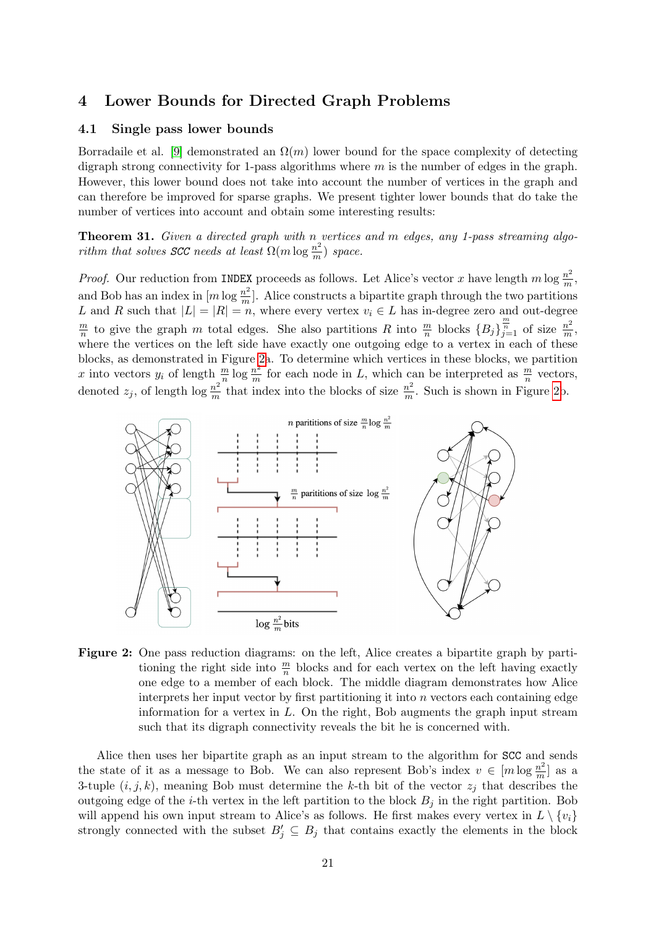# <span id="page-20-0"></span>4 Lower Bounds for Directed Graph Problems

### 4.1 Single pass lower bounds

Borradaile et al. [\[9\]](#page-24-14) demonstrated an  $\Omega(m)$  lower bound for the space complexity of detecting digraph strong connectivity for 1-pass algorithms where  $m$  is the number of edges in the graph. However, this lower bound does not take into account the number of vertices in the graph and can therefore be improved for sparse graphs. We present tighter lower bounds that do take the number of vertices into account and obtain some interesting results:

Theorem 31. Given a directed graph with n vertices and m edges, any 1-pass streaming algorithm that solves SCC needs at least  $\Omega(m \log \frac{n^2}{m})$  $\frac{n^2}{m}$ ) space.

*Proof.* Our reduction from INDEX proceeds as follows. Let Alice's vector x have length m log  $\frac{n^2}{m}$  $\frac{n^2}{m},$ and Bob has an index in  $[m \log \frac{n^2}{m}]$  $\frac{n^2}{m}$ . Alice constructs a bipartite graph through the two partitions L and R such that  $|L| = |R| = n$ , where every vertex  $v_i \in L$  has in-degree zero and out-degree  $\overline{m}$  $\frac{m}{n}$  to give the graph m total edges. She also partitions R into  $\frac{m}{n}$  blocks  $\{B_j\}_{j=1}^{\frac{m}{n}}$  of size  $\frac{n^2}{m}$  $\frac{n^2}{m},$ where the vertices on the left side have exactly one outgoing edge to a vertex in each of these blocks, as demonstrated in Figure [2a](#page-20-1). To determine which vertices in these blocks, we partition x into vectors  $y_i$  of length  $\frac{m}{n} \log \frac{n^2}{m}$  $\frac{n^2}{m}$  for each node in L, which can be interpreted as  $\frac{m}{n}$  vectors, denoted  $z_j$ , of length  $\log \frac{n^2}{m}$  $\frac{n^2}{m}$  that index into the blocks of size  $\frac{n^2}{m}$  $\frac{n^2}{m}$ . Such is shown in Figure [2b](#page-20-1).

<span id="page-20-1"></span>

Figure 2: One pass reduction diagrams: on the left, Alice creates a bipartite graph by partitioning the right side into  $\frac{m}{n}$  blocks and for each vertex on the left having exactly one edge to a member of each block. The middle diagram demonstrates how Alice interprets her input vector by first partitioning it into  $n$  vectors each containing edge information for a vertex in  $L$ . On the right, Bob augments the graph input stream such that its digraph connectivity reveals the bit he is concerned with.

Alice then uses her bipartite graph as an input stream to the algorithm for SCC and sends the state of it as a message to Bob. We can also represent Bob's index  $v \in [m \log \frac{n^2}{m}]$  $\frac{n^2}{m}$  as a 3-tuple  $(i, j, k)$ , meaning Bob must determine the k-th bit of the vector  $z_j$  that describes the outgoing edge of the *i*-th vertex in the left partition to the block  $B_i$  in the right partition. Bob will append his own input stream to Alice's as follows. He first makes every vertex in  $L \setminus \{v_i\}$ strongly connected with the subset  $B'_j \subseteq B_j$  that contains exactly the elements in the block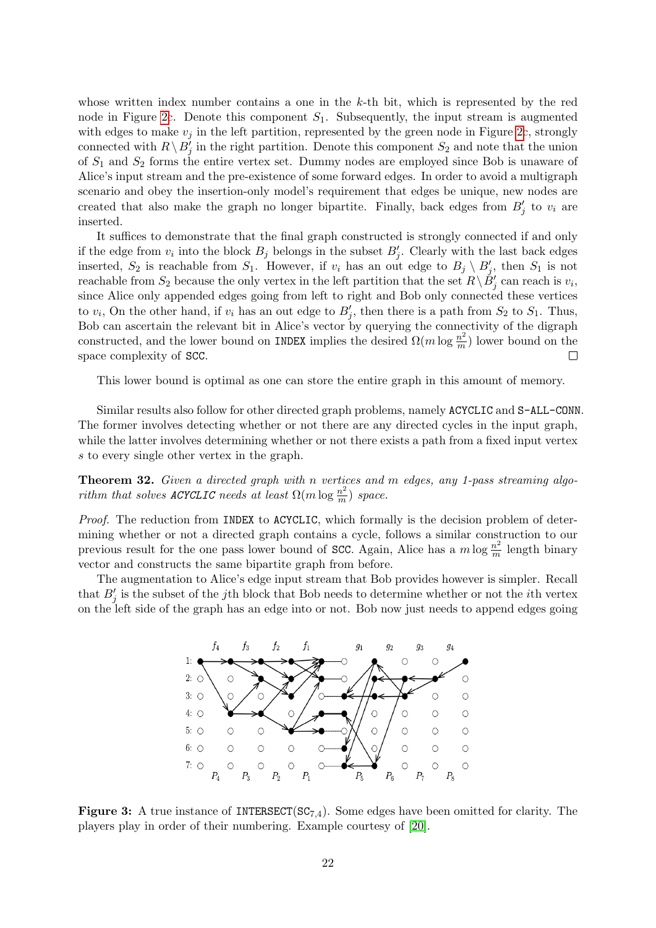whose written index number contains a one in the  $k$ -th bit, which is represented by the red node in Figure [2c](#page-20-1). Denote this component  $S_1$ . Subsequently, the input stream is augmented with edges to make  $v_i$  in the left partition, represented by the green node in Figure [2c](#page-20-1), strongly connected with  $R \setminus B_j'$  in the right partition. Denote this component  $S_2$  and note that the union of  $S_1$  and  $S_2$  forms the entire vertex set. Dummy nodes are employed since Bob is unaware of Alice's input stream and the pre-existence of some forward edges. In order to avoid a multigraph scenario and obey the insertion-only model's requirement that edges be unique, new nodes are created that also make the graph no longer bipartite. Finally, back edges from  $B'_j$  to  $v_i$  are inserted.

It suffices to demonstrate that the final graph constructed is strongly connected if and only if the edge from  $v_i$  into the block  $B_j$  belongs in the subset  $B'_j$ . Clearly with the last back edges inserted,  $S_2$  is reachable from  $S_1$ . However, if  $v_i$  has an out edge to  $B_j \setminus B'_j$ , then  $S_1$  is not reachable from  $S_2$  because the only vertex in the left partition that the set  $R \setminus \check{B}'_j$  can reach is  $v_i$ , since Alice only appended edges going from left to right and Bob only connected these vertices to  $v_i$ , On the other hand, if  $v_i$  has an out edge to  $B'_j$ , then there is a path from  $S_2$  to  $S_1$ . Thus, Bob can ascertain the relevant bit in Alice's vector by querying the connectivity of the digraph constructed, and the lower bound on INDEX implies the desired  $\Omega(m \log \frac{n^2}{m})$  $\frac{n^2}{m}$ ) lower bound on the space complexity of SCC.  $\Box$ 

This lower bound is optimal as one can store the entire graph in this amount of memory.

Similar results also follow for other directed graph problems, namely ACYCLIC and S-ALL-CONN. The former involves detecting whether or not there are any directed cycles in the input graph, while the latter involves determining whether or not there exists a path from a fixed input vertex s to every single other vertex in the graph.

Theorem 32. Given a directed graph with n vertices and m edges, any 1-pass streaming algorithm that solves ACYCLIC needs at least  $\Omega(m \log \frac{n^2}{m})$  $\frac{n^2}{m}$ ) space.

Proof. The reduction from INDEX to ACYCLIC, which formally is the decision problem of determining whether or not a directed graph contains a cycle, follows a similar construction to our previous result for the one pass lower bound of SCC. Again, Alice has a  $m \log \frac{n^2}{m}$  $\frac{n^2}{m}$  length binary vector and constructs the same bipartite graph from before.

<span id="page-21-0"></span>The augmentation to Alice's edge input stream that Bob provides however is simpler. Recall that  $B'_{j}$  is the subset of the jth block that Bob needs to determine whether or not the *i*th vertex on the left side of the graph has an edge into or not. Bob now just needs to append edges going



**Figure 3:** A true instance of INTERSECT( $SC_{7,4}$ ). Some edges have been omitted for clarity. The players play in order of their numbering. Example courtesy of [\[20\]](#page-25-2).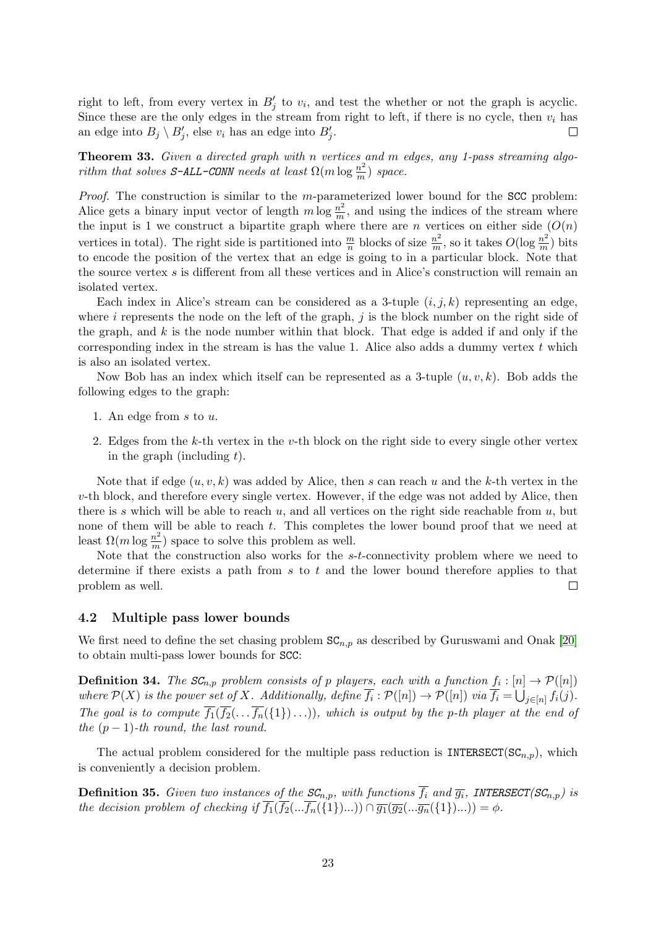right to left, from every vertex in  $B'_j$  to  $v_i$ , and test the whether or not the graph is acyclic. Since these are the only edges in the stream from right to left, if there is no cycle, then  $v_i$  has an edge into  $B_j \setminus B'_j$ , else  $v_i$  has an edge into  $B'_j$ .  $\Box$ 

Theorem 33. Given a directed graph with n vertices and m edges, any 1-pass streaming algorithm that solves S-ALL-CONN needs at least  $\Omega(m \log \frac{n^2}{m})$  $\frac{n^2}{m}$ ) space.

*Proof.* The construction is similar to the *m*-parameterized lower bound for the SCC problem: Alice gets a binary input vector of length  $m \log \frac{n^2}{m}$  $\frac{n^2}{m}$ , and using the indices of the stream where the input is 1 we construct a bipartite graph where there are n vertices on either side  $(O(n))$ vertices in total). The right side is partitioned into  $\frac{m}{n}$  blocks of size  $\frac{n^2}{m}$  $\frac{n^2}{m}$ , so it takes  $O(\log \frac{n^2}{m})$  $\frac{n^2}{m}$ ) bits to encode the position of the vertex that an edge is going to in a particular block. Note that the source vertex s is different from all these vertices and in Alice's construction will remain an isolated vertex.

Each index in Alice's stream can be considered as a 3-tuple  $(i, j, k)$  representing an edge, where i represents the node on the left of the graph,  $j$  is the block number on the right side of the graph, and  $k$  is the node number within that block. That edge is added if and only if the corresponding index in the stream is has the value 1. Alice also adds a dummy vertex  $t$  which is also an isolated vertex.

Now Bob has an index which itself can be represented as a 3-tuple  $(u, v, k)$ . Bob adds the following edges to the graph:

- 1. An edge from s to u.
- 2. Edges from the k-th vertex in the v-th block on the right side to every single other vertex in the graph (including  $t$ ).

Note that if edge  $(u, v, k)$  was added by Alice, then s can reach u and the k-th vertex in the  $v$ -th block, and therefore every single vertex. However, if the edge was not added by Alice, then there is s which will be able to reach  $u$ , and all vertices on the right side reachable from  $u$ , but none of them will be able to reach t. This completes the lower bound proof that we need at least  $\Omega(m \log \frac{n^2}{m})$  $\frac{m^2}{m}$ ) space to solve this problem as well.

Note that the construction also works for the s-t-connectivity problem where we need to determine if there exists a path from  $s$  to  $t$  and the lower bound therefore applies to that problem as well.  $\Box$ 

#### 4.2 Multiple pass lower bounds

We first need to define the set chasing problem  $SC_{n,p}$  as described by Guruswami and Onak [\[20\]](#page-25-2) to obtain multi-pass lower bounds for SCC:

**Definition 34.** The  $SC_{n,p}$  problem consists of p players, each with a function  $f_i : [n] \to \mathcal{P}([n])$ where  $\mathcal{P}(X)$  is the power set of X. Additionally, define  $\overline{f_i} : \mathcal{P}([n]) \to \mathcal{P}([n])$  via  $\overline{f_i} = \bigcup_{j \in [n]} f_i(j)$ . The goal is to compute  $\overline{f_1}(\overline{f_2}(\ldots \overline{f_n}(\{1\})\ldots))$ , which is output by the p-th player at the end of the  $(p-1)$ -th round, the last round.

The actual problem considered for the multiple pass reduction is INTERSECT( $SC_{n,p}$ ), which is conveniently a decision problem.

**Definition 35.** Given two instances of the  $SC_{n,p}$ , with functions  $\overline{f_i}$  and  $\overline{g_i}$ , INTERSECT( $SC_{n,p}$ ) is the decision problem of checking if  $\overline{f_1}(\overline{f_2}(\ldots \overline{f_n}(\{1\})\ldots)) \cap \overline{g_1}(\overline{g_2}(\ldots \overline{g_n}(\{1\})\ldots)) = \phi$ .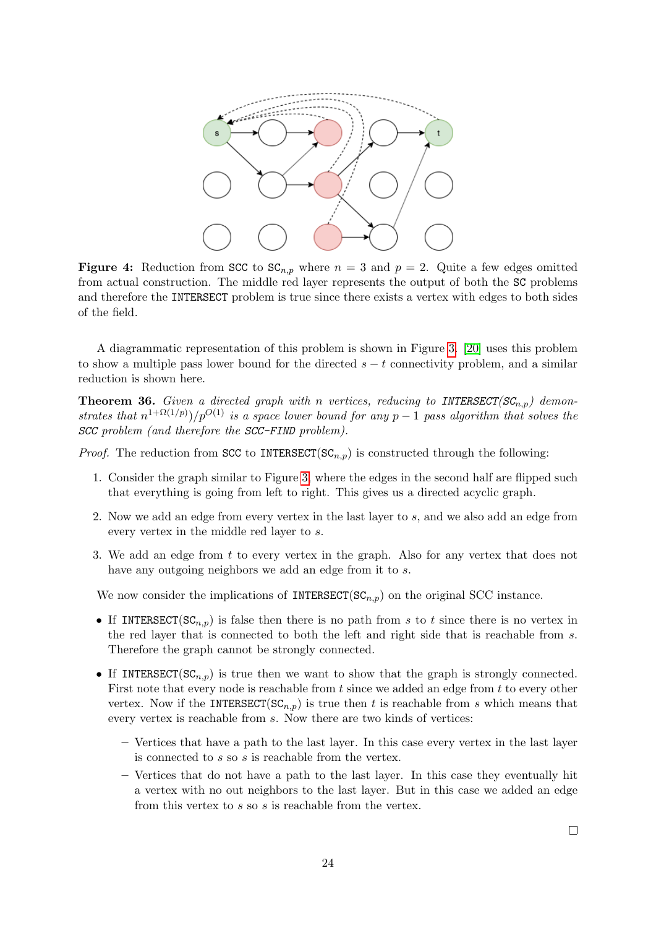

Figure 4: Reduction from SCC to  $SC_{n,p}$  where  $n = 3$  and  $p = 2$ . Quite a few edges omitted from actual construction. The middle red layer represents the output of both the SC problems and therefore the INTERSECT problem is true since there exists a vertex with edges to both sides of the field.

A diagrammatic representation of this problem is shown in Figure [3.](#page-21-0) [\[20\]](#page-25-2) uses this problem to show a multiple pass lower bound for the directed  $s - t$  connectivity problem, and a similar reduction is shown here.

**Theorem 36.** Given a directed graph with n vertices, reducing to INTERSECT( $SC_{n,p}$ ) demonstrates that  $n^{1+\Omega(1/p)})/p^{O(1)}$  is a space lower bound for any  $p-1$  pass algorithm that solves the SCC problem (and therefore the SCC-FIND problem).

*Proof.* The reduction from SCC to INTERSECT( $SC_{n,p}$ ) is constructed through the following:

- 1. Consider the graph similar to Figure [3,](#page-21-0) where the edges in the second half are flipped such that everything is going from left to right. This gives us a directed acyclic graph.
- 2. Now we add an edge from every vertex in the last layer to s, and we also add an edge from every vertex in the middle red layer to s.
- 3. We add an edge from t to every vertex in the graph. Also for any vertex that does not have any outgoing neighbors we add an edge from it to s.

We now consider the implications of INTERSECT( $SC_{n,p}$ ) on the original SCC instance.

- If INTERSECT(SC<sub>n,p</sub>) is false then there is no path from s to t since there is no vertex in the red layer that is connected to both the left and right side that is reachable from s. Therefore the graph cannot be strongly connected.
- If INTERSECT( $SC_{n,p}$ ) is true then we want to show that the graph is strongly connected. First note that every node is reachable from  $t$  since we added an edge from  $t$  to every other vertex. Now if the INTERSECT( $SC_{n,p}$ ) is true then t is reachable from s which means that every vertex is reachable from s. Now there are two kinds of vertices:
	- Vertices that have a path to the last layer. In this case every vertex in the last layer is connected to s so s is reachable from the vertex.
	- Vertices that do not have a path to the last layer. In this case they eventually hit a vertex with no out neighbors to the last layer. But in this case we added an edge from this vertex to s so s is reachable from the vertex.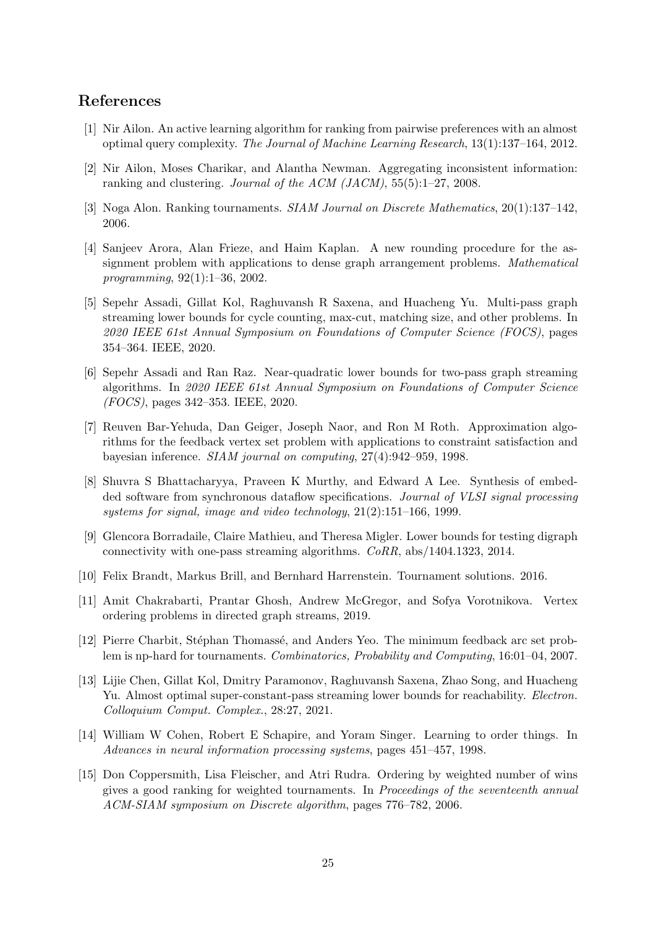# References

- <span id="page-24-4"></span>[1] Nir Ailon. An active learning algorithm for ranking from pairwise preferences with an almost optimal query complexity. The Journal of Machine Learning Research, 13(1):137–164, 2012.
- <span id="page-24-10"></span>[2] Nir Ailon, Moses Charikar, and Alantha Newman. Aggregating inconsistent information: ranking and clustering. Journal of the ACM (JACM), 55(5):1–27, 2008.
- <span id="page-24-8"></span>[3] Noga Alon. Ranking tournaments. SIAM Journal on Discrete Mathematics, 20(1):137–142, 2006.
- <span id="page-24-12"></span>[4] Sanjeev Arora, Alan Frieze, and Haim Kaplan. A new rounding procedure for the assignment problem with applications to dense graph arrangement problems. Mathematical programming, 92(1):1–36, 2002.
- <span id="page-24-1"></span>[5] Sepehr Assadi, Gillat Kol, Raghuvansh R Saxena, and Huacheng Yu. Multi-pass graph streaming lower bounds for cycle counting, max-cut, matching size, and other problems. In 2020 IEEE 61st Annual Symposium on Foundations of Computer Science (FOCS), pages 354–364. IEEE, 2020.
- <span id="page-24-2"></span>[6] Sepehr Assadi and Ran Raz. Near-quadratic lower bounds for two-pass graph streaming algorithms. In 2020 IEEE 61st Annual Symposium on Foundations of Computer Science (FOCS), pages 342–353. IEEE, 2020.
- <span id="page-24-5"></span>[7] Reuven Bar-Yehuda, Dan Geiger, Joseph Naor, and Ron M Roth. Approximation algorithms for the feedback vertex set problem with applications to constraint satisfaction and bayesian inference. SIAM journal on computing, 27(4):942–959, 1998.
- <span id="page-24-7"></span>[8] Shuvra S Bhattacharyya, Praveen K Murthy, and Edward A Lee. Synthesis of embedded software from synchronous dataflow specifications. Journal of VLSI signal processing systems for signal, image and video technology, 21(2):151–166, 1999.
- <span id="page-24-14"></span>[9] Glencora Borradaile, Claire Mathieu, and Theresa Migler. Lower bounds for testing digraph connectivity with one-pass streaming algorithms. CoRR, abs/1404.1323, 2014.
- <span id="page-24-13"></span>[10] Felix Brandt, Markus Brill, and Bernhard Harrenstein. Tournament solutions. 2016.
- <span id="page-24-0"></span>[11] Amit Chakrabarti, Prantar Ghosh, Andrew McGregor, and Sofya Vorotnikova. Vertex ordering problems in directed graph streams, 2019.
- <span id="page-24-9"></span>[12] Pierre Charbit, Stéphan Thomassé, and Anders Yeo. The minimum feedback arc set problem is np-hard for tournaments. Combinatorics, Probability and Computing, 16:01–04, 2007.
- <span id="page-24-3"></span>[13] Lijie Chen, Gillat Kol, Dmitry Paramonov, Raghuvansh Saxena, Zhao Song, and Huacheng Yu. Almost optimal super-constant-pass streaming lower bounds for reachability. *Electron*. Colloquium Comput. Complex., 28:27, 2021.
- <span id="page-24-6"></span>[14] William W Cohen, Robert E Schapire, and Yoram Singer. Learning to order things. In Advances in neural information processing systems, pages 451–457, 1998.
- <span id="page-24-11"></span>[15] Don Coppersmith, Lisa Fleischer, and Atri Rudra. Ordering by weighted number of wins gives a good ranking for weighted tournaments. In Proceedings of the seventeenth annual ACM-SIAM symposium on Discrete algorithm, pages 776–782, 2006.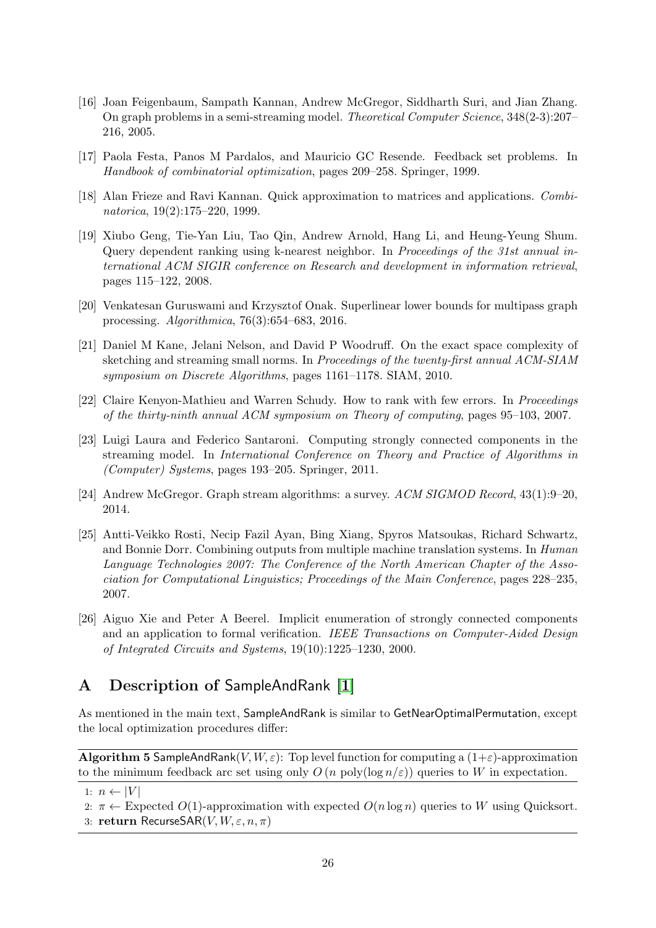- <span id="page-25-0"></span>[16] Joan Feigenbaum, Sampath Kannan, Andrew McGregor, Siddharth Suri, and Jian Zhang. On graph problems in a semi-streaming model. Theoretical Computer Science, 348(2-3):207– 216, 2005.
- <span id="page-25-6"></span>[17] Paola Festa, Panos M Pardalos, and Mauricio GC Resende. Feedback set problems. In Handbook of combinatorial optimization, pages 209–258. Springer, 1999.
- <span id="page-25-9"></span>[18] Alan Frieze and Ravi Kannan. Quick approximation to matrices and applications. Combinatorica, 19(2):175–220, 1999.
- <span id="page-25-5"></span>[19] Xiubo Geng, Tie-Yan Liu, Tao Qin, Andrew Arnold, Hang Li, and Heung-Yeung Shum. Query dependent ranking using k-nearest neighbor. In Proceedings of the 31st annual international ACM SIGIR conference on Research and development in information retrieval, pages 115–122, 2008.
- <span id="page-25-2"></span>[20] Venkatesan Guruswami and Krzysztof Onak. Superlinear lower bounds for multipass graph processing. Algorithmica, 76(3):654–683, 2016.
- <span id="page-25-11"></span>[21] Daniel M Kane, Jelani Nelson, and David P Woodruff. On the exact space complexity of sketching and streaming small norms. In Proceedings of the twenty-first annual ACM-SIAM symposium on Discrete Algorithms, pages 1161–1178. SIAM, 2010.
- <span id="page-25-3"></span>[22] Claire Kenyon-Mathieu and Warren Schudy. How to rank with few errors. In Proceedings of the thirty-ninth annual ACM symposium on Theory of computing, pages 95–103, 2007.
- <span id="page-25-8"></span>[23] Luigi Laura and Federico Santaroni. Computing strongly connected components in the streaming model. In International Conference on Theory and Practice of Algorithms in (Computer) Systems, pages 193–205. Springer, 2011.
- <span id="page-25-1"></span>[24] Andrew McGregor. Graph stream algorithms: a survey. ACM SIGMOD Record, 43(1):9–20, 2014.
- <span id="page-25-4"></span>[25] Antti-Veikko Rosti, Necip Fazil Ayan, Bing Xiang, Spyros Matsoukas, Richard Schwartz, and Bonnie Dorr. Combining outputs from multiple machine translation systems. In Human Language Technologies 2007: The Conference of the North American Chapter of the Association for Computational Linguistics; Proceedings of the Main Conference, pages 228–235, 2007.
- <span id="page-25-7"></span>[26] Aiguo Xie and Peter A Beerel. Implicit enumeration of strongly connected components and an application to formal verification. IEEE Transactions on Computer-Aided Design of Integrated Circuits and Systems, 19(10):1225–1230, 2000.

# <span id="page-25-10"></span>A Description of SampleAndRank [\[1\]](#page-24-4)

As mentioned in the main text, SampleAndRank is similar to GetNearOptimalPermutation, except the local optimization procedures differ:

**Algorithm 5 SampleAndRank**(V,  $W, \varepsilon$ ): Top level function for computing a  $(1+\varepsilon)$ -approximation to the minimum feedback arc set using only  $O(n \text{ poly}(\log n/\varepsilon))$  queries to W in expectation.

<sup>1:</sup>  $n \leftarrow |V|$ 

<sup>2:</sup>  $\pi \leftarrow$  Expected O(1)-approximation with expected  $O(n \log n)$  queries to W using Quicksort.

<sup>3:</sup> return RecurseSAR $(V, W, \varepsilon, n, \pi)$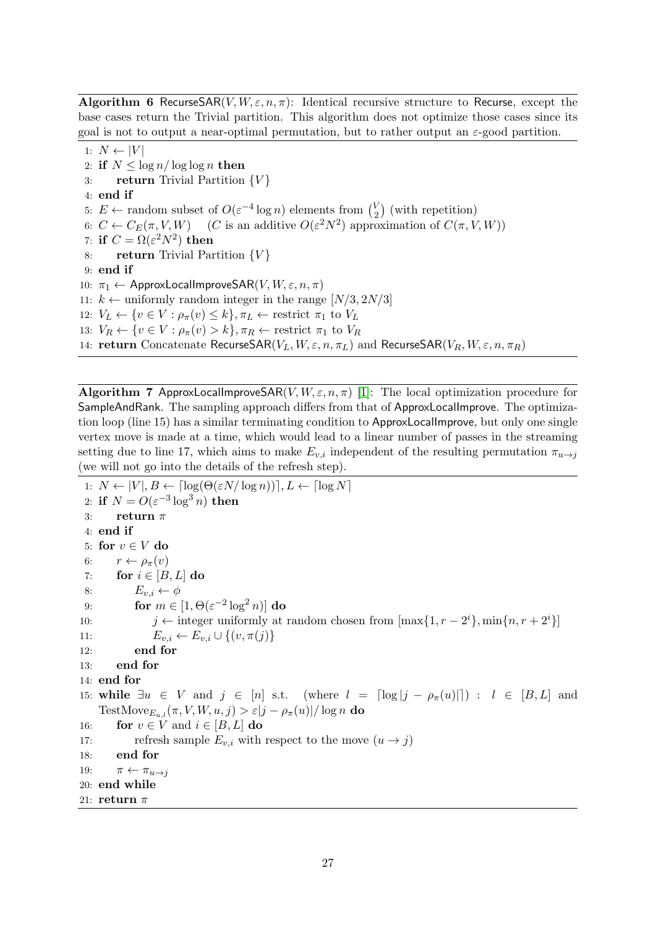**Algorithm 6 Recurse**SAR(V,  $W, \varepsilon, n, \pi$ ): Identical recursive structure to Recurse, except the base cases return the Trivial partition. This algorithm does not optimize those cases since its goal is not to output a near-optimal permutation, but to rather output an  $\varepsilon$ -good partition.

1:  $N \leftarrow |V|$ 2: if  $N \leq \log n / \log \log n$  then 3: return Trivial Partition  $\{V\}$ 4: end if 5:  $E \leftarrow$  random subset of  $O(\varepsilon^{-4} \log n)$  elements from  $\binom{V}{2}$  $\binom{V}{2}$  (with repetition) 6:  $C \leftarrow C_E(\pi, V, W)$  (*C* is an additive  $O(\varepsilon^2 N^2)$  approximation of  $C(\pi, V, W)$ ) 7: if  $C = \Omega(\varepsilon^2 N^2)$  then 8: return Trivial Partition  $\{V\}$ 9: end if 10:  $\pi_1 \leftarrow$  ApproxLocalImproveSAR(V,  $W, \varepsilon, n, \pi$ ) 11:  $k \leftarrow$  uniformly random integer in the range  $[N/3, 2N/3]$ 12:  $V_L \leftarrow \{v \in V : \rho_{\pi}(v) \leq k\}, \pi_L \leftarrow \text{restrict } \pi_1 \text{ to } V_L$ 13:  $V_R \leftarrow \{v \in V : \rho_{\pi}(v) > k\}, \pi_R \leftarrow \text{restrict } \pi_1 \text{ to } V_R$ 14: return Concatenate RecurseSAR( $V_L, W, \varepsilon, n, \pi_L$ ) and RecurseSAR( $V_R, W, \varepsilon, n, \pi_R$ )

<span id="page-26-0"></span>**Algorithm 7 ApproxLocalImproveSAR(V, W,**  $\varepsilon$ **,**  $n, \pi$ **)** [\[1\]](#page-24-4): The local optimization procedure for SampleAndRank. The sampling approach differs from that of ApproxLocalImprove. The optimization loop (line 15) has a similar terminating condition to ApproxLocalImprove, but only one single vertex move is made at a time, which would lead to a linear number of passes in the streaming setting due to line 17, which aims to make  $E_{v,i}$  independent of the resulting permutation  $\pi_{u\rightarrow j}$ (we will not go into the details of the refresh step).

1:  $N \leftarrow |V|, B \leftarrow \lceil \log(\Theta(\varepsilon N / \log n)) \rceil, L \leftarrow \lceil \log N \rceil$ 2: if  $N = O(\varepsilon^{-3} \log^3 n)$  then 3: return  $\pi$ 4: end if 5: for  $v \in V$  do 6:  $r \leftarrow \rho_{\pi}(v)$ 7: for  $i \in [B, L]$  do 8:  $E_{v,i} \leftarrow \phi$ 9: for  $m \in [1, \Theta(\varepsilon^{-2} \log^2 n)]$  do 10:  $j \leftarrow$  integer uniformly at random chosen from  $[\max\{1, r - 2^i\}, \min\{n, r + 2^i\}]$ 11:  $E_{v,i} \leftarrow E_{v,i} \cup \{(v, \pi(j))\}$ 12: end for 13: end for 14: end for 15: while  $\exists u \in V$  and  $j \in [n]$  s.t. (where  $l = \lceil \log |j - \rho_{\pi}(u)| \rceil$ ) :  $l \in [B, L]$  and TestMove<sub>Eu</sub>, $(\pi, V, W, u, j) > \varepsilon |j - \rho_{\pi}(u)| / \log n$  do 16: **for**  $v \in V$  and  $i \in [B, L]$  do 17: refresh sample  $E_{v,i}$  with respect to the move  $(u \to j)$ 18: end for 19:  $\pi \leftarrow \pi_{u \rightarrow i}$ 20: end while 21: return  $\pi$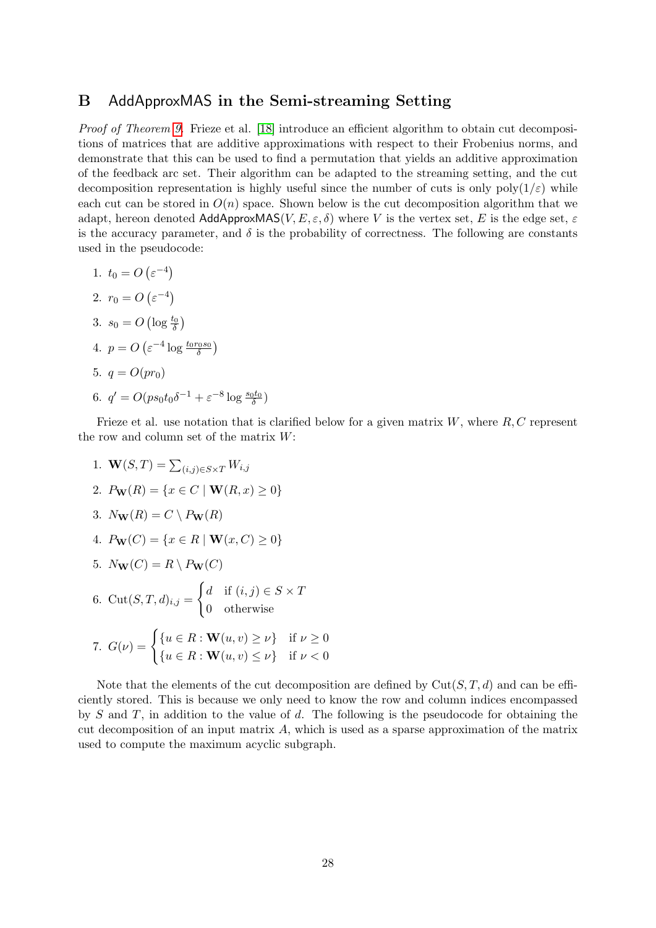# <span id="page-27-0"></span>B AddApproxMAS in the Semi-streaming Setting

Proof of Theorem [9.](#page-6-1) Frieze et al. [\[18\]](#page-25-9) introduce an efficient algorithm to obtain cut decompositions of matrices that are additive approximations with respect to their Frobenius norms, and demonstrate that this can be used to find a permutation that yields an additive approximation of the feedback arc set. Their algorithm can be adapted to the streaming setting, and the cut decomposition representation is highly useful since the number of cuts is only  $poly(1/\varepsilon)$  while each cut can be stored in  $O(n)$  space. Shown below is the cut decomposition algorithm that we adapt, hereon denoted  $\mathsf{AddApproxMAS}(V, E, \varepsilon, \delta)$  where V is the vertex set, E is the edge set,  $\varepsilon$ is the accuracy parameter, and  $\delta$  is the probability of correctness. The following are constants used in the pseudocode:

1.  $t_0 = O\left(\varepsilon^{-4}\right)$ 2.  $r_0 = O\left(\varepsilon^{-4}\right)$ 3.  $s_0 = O\left(\log \frac{t_0}{\delta}\right)$ 4.  $p = O\left(\varepsilon^{-4} \log \frac{t_0 r_0 s_0}{\delta}\right)$ 5.  $q = O(pr_0)$ 6.  $q' = O(ps_0 t_0 \delta^{-1} + \varepsilon^{-8} \log \frac{s_0 t_0}{\delta})$ 

Frieze et al. use notation that is clarified below for a given matrix  $W$ , where  $R, C$  represent the row and column set of the matrix  $W$ :

1.  $\mathbf{W}(S,T) = \sum_{(i,j) \in S \times T} W_{i,j}$ 2.  $P_{\mathbf{W}}(R) = \{x \in C \mid \mathbf{W}(R, x) \geq 0\}$ 3.  $N_{\mathbf{W}}(R) = C \setminus P_{\mathbf{W}}(R)$ 4.  $P_{\mathbf{W}}(C) = \{x \in R \mid \mathbf{W}(x, C) \geq 0\}$ 5.  $N_{\mathbf{W}}(C) = R \setminus P_{\mathbf{W}}(C)$ 6.  $Cut(S, T, d)_{i,j} =$  $\int d$  if  $(i, j) \in S \times T$ 0 otherwise 7.  $G(\nu) = \begin{cases} \{u \in R : \mathbf{W}(u, v) \geq \nu\} & \text{if } \nu \geq 0 \\ 0 & \text{if } \nu \geq 0 \end{cases}$  ${u \in R : \mathbf{W}(u, v) \leq \nu}$  if  $\nu < 0$ 

Note that the elements of the cut decomposition are defined by  $Cut(S, T, d)$  and can be efficiently stored. This is because we only need to know the row and column indices encompassed by  $S$  and  $T$ , in addition to the value of  $d$ . The following is the pseudocode for obtaining the cut decomposition of an input matrix  $A$ , which is used as a sparse approximation of the matrix used to compute the maximum acyclic subgraph.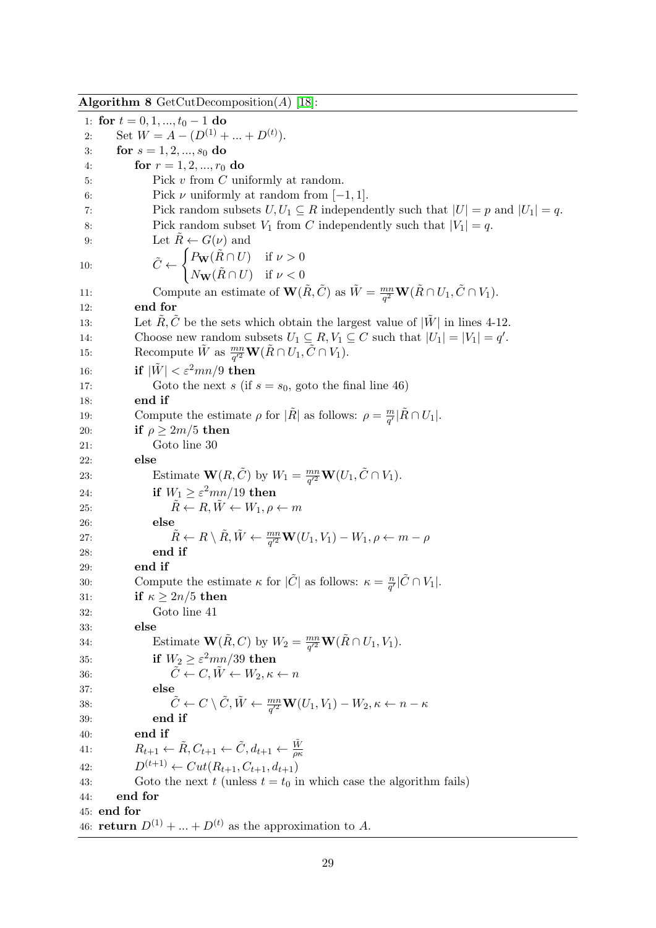Algorithm 8 GetCutDecomposition(A) [\[18\]](#page-25-9): 1: for  $t = 0, 1, ..., t_0 - 1$  do 2: Set  $W = A - (D^{(1)} + ... + D^{(t)}).$ 3: for  $s = 1, 2, ..., s_0$  do 4: for  $r = 1, 2, ..., r_0$  do 5: Pick v from C uniformly at random.

6: Pick  $\nu$  uniformly at random from  $[-1, 1]$ .

7: Pick random subsets  $U, U_1 \subseteq R$  independently such that  $|U| = p$  and  $|U_1| = q$ .

8: Pick random subset  $V_1$  from C independently such that  $|V_1| = q$ .

9: Let  $\ddot{R} \leftarrow G(\nu)$  and

10: 
$$
\tilde{C} \leftarrow \begin{cases} P_{\mathbf{W}}(\tilde{R} \cap U) & \text{if } \nu > 0 \\ N_{\mathbf{W}}(\tilde{R} \cap U) & \text{if } \nu < 0 \end{cases}
$$

11: Compute an estimate of  $\mathbf{W}(\tilde{R}, \tilde{C})$  as  $\tilde{W} = \frac{mn}{c^2}$  $\frac{mn}{q^2}\mathbf{W}(\tilde{R}\cap U_1,\tilde{C}\cap V_1).$ 12: end for

13: Let  $\tilde{R}, \tilde{C}$  be the sets which obtain the largest value of  $|\tilde{W}|$  in lines 4-12. 14: Choose new random subsets  $U_1 \subseteq R$ ,  $V_1 \subseteq C$  such that  $|U_1| = |V_1| = q'$ . 15: Recompute  $\tilde{W}$  as  $\frac{mn}{q'^2}\mathbf{W}(\tilde{R}\cap U_1, \tilde{C}\cap V_1)$ .

16: **if**  $|\tilde{W}| < \varepsilon^2 mn/9$  then

17: Goto the next s (if  $s = s_0$ , goto the final line 46) 18: end if 19: Compute the estimate  $\rho$  for  $|\tilde{R}|$  as follows:  $\rho = \frac{m}{\rho'}$  $\frac{m}{q'}|\tilde{R}\cap U_1|.$ 

20: if  $\rho > 2m/5$  then

21: Goto line 30

22: else 23: Estimate  $\mathbf{W}(R, \tilde{C})$  by  $W_1 = \frac{mn}{a'^2}$  $\frac{mn}{q'^2}\mathbf{W}(U_1,\tilde{C}\cap V_1).$ 24: **if**  $W_1 \ge \varepsilon^2 mn/19$  then 25:  $\tilde{R} \leftarrow R, \tilde{W} \leftarrow W_1, \rho \leftarrow m$ 26: else 27:  $\tilde{R} \leftarrow R \setminus \tilde{R}, \tilde{W} \leftarrow \frac{mn}{q'^2} \mathbf{W}(U_1, V_1) - W_1, \rho \leftarrow m - \rho$ 

28: end if

29: end if

30: Compute the estimate  $\kappa$  for  $|\tilde{C}|$  as follows:  $\kappa = \frac{n}{c'}$  $\frac{n}{q'}|\tilde{C} \cap V_1|$ . 31: if  $\kappa \geq 2n/5$  then 32: Goto line 41 33: else 34: Estimate  $\mathbf{W}(\tilde{R}, C)$  by  $W_2 = \frac{mn}{a'^2}$  $\frac{mn}{q'^2}\mathbf{W}(\tilde{R}\cap U_1,V_1).$ 35: if  $W_2 \geq \varepsilon^2 mn/39$  then 36:  $\tilde{C} \leftarrow C, \tilde{W} \leftarrow W_2, \kappa \leftarrow n$ 37: else 38:  $\tilde{C} \leftarrow C \setminus \tilde{C}, \tilde{W} \leftarrow \frac{mn}{q'^2} \mathbf{W}(U_1, V_1) - W_2, \kappa \leftarrow n - \kappa$ 39: end if 40: end if 41:  $R_{t+1} \leftarrow \tilde{R}, C_{t+1} \leftarrow \tilde{C}, d_{t+1} \leftarrow \frac{\tilde{W}}{\rho \kappa}$ 42:  $D^{(t+1)} \leftarrow Cut(R_{t+1}, C_{t+1}, d_{t+1})$ 

43: Goto the next t (unless  $t = t_0$  in which case the algorithm fails)

44: end for

45: end for

46: **return**  $D^{(1)} + ... + D^{(t)}$  as the approximation to A.